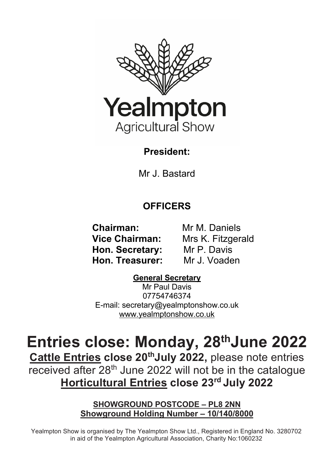

## **President:**

Mr J. Bastard

## **OFFICERS**

 **Chairman:** Mr M. Daniels  **Hon. Secretary:** Mr P. Davis  **Hon. Treasurer:** Mr J. Voaden

 **Vice Chairman:** Mrs K. Fitzgerald

## **General Secretary**

Mr Paul Davis 07754746374 E-mail: secretary@yealmptonshow.co.uk www.yealmptonshow.co.uk

# **Entries close: Monday, 28thJune 2022**

**Cattle Entries close 20<sup>th</sup>July 2022**, please note entries received after 28<sup>th</sup> June 2022 will not be in the catalogue **Horticultural Entries close 23rd July 2022**

#### **SHOWGROUND POSTCODE – PL8 2NN Showground Holding Number – 10/140/8000**

Yealmpton Show is organised by The Yealmpton Show Ltd., Registered in England No. 3280702 in aid of the Yealmpton Agricultural Association, Charity No:1060232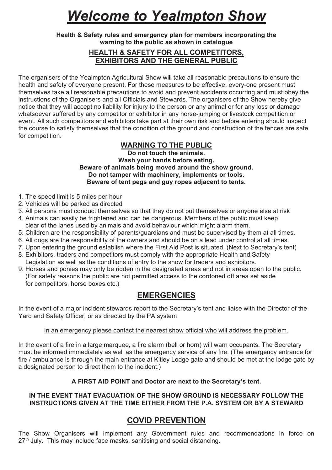## *Welcome to Yealmpton Show*

#### **Health & Safety rules and emergency plan for members incorporating the warning to the public as shown in catalogue**

#### **HEALTH & SAFETY FOR ALL COMPETITORS, EXHIBITORS AND THE GENERAL PUBLIC**

The organisers of the Yealmpton Agricultural Show will take all reasonable precautions to ensure the health and safety of everyone present. For these measures to be effective, every-one present must themselves take all reasonable precautions to avoid and prevent accidents occurring and must obey the instructions of the Organisers and all Officials and Stewards. The organisers of the Show hereby give notice that they will accept no liability for injury to the person or any animal or for any loss or damage whatsoever suffered by any competitor or exhibitor in any horse-jumping or livestock competition or event. All such competitors and exhibitors take part at their own risk and before entering should inspect the course to satisfy themselves that the condition of the ground and construction of the fences are safe for competition.

#### **WARNING TO THE PUBLIC**

**Do not touch the animals. Wash your hands before eating. Beware of animals being moved around the show ground. Do not tamper with machinery, implements or tools. Beware of tent pegs and guy ropes adjacent to tents.**

- 1. The speed limit is 5 miles per hour
- 2. Vehicles will be parked as directed
- 3. All persons must conduct themselves so that they do not put themselves or anyone else at risk
- 4. Animals can easily be frightened and can be dangerous. Members of the public must keep clear of the lanes used by animals and avoid behaviour which might alarm them.
- 5. Children are the responsibility of parents/guardians and must be supervised by them at all times.
- 6. All dogs are the responsibility of the owners and should be on a lead under control at all times.
- 7. Upon entering the ground establish where the First Aid Post is situated. (Next to Secretary's tent)
- 8. Exhibitors, traders and competitors must comply with the appropriate Health and Safety Legislation as well as the conditions of entry to the show for traders and exhibitors.
- 9. Horses and ponies may only be ridden in the designated areas and not in areas open to the public. (For safety reasons the public are not permitted access to the cordoned off area set aside for competitors, horse boxes etc.)

#### **EMERGENCIES**

In the event of a major incident stewards report to the Secretary's tent and liaise with the Director of the Yard and Safety Officer, or as directed by the PA system

#### In an emergency please contact the nearest show official who will address the problem.

In the event of a fire in a large marquee, a fire alarm (bell or horn) will warn occupants. The Secretary must be informed immediately as well as the emergency service of any fire. (The emergency entrance for fire / ambulance is through the main entrance at Kitley Lodge gate and should be met at the lodge gate by a designated person to direct them to the incident.)

#### **A FIRST AID POINT and Doctor are next to the Secretary's tent.**

#### **IN THE EVENT THAT EVACUATION OF THE SHOW GROUND IS NECESSARY FOLLOW THE INSTRUCTIONS GIVEN AT THE TIME EITHER FROM THE P.A. SYSTEM OR BY A STEWARD**

#### **COVID PREVENTION**

The Show Organisers will implement any Government rules and recommendations in force on 27<sup>th</sup> July. This may include face masks, sanitising and social distancing.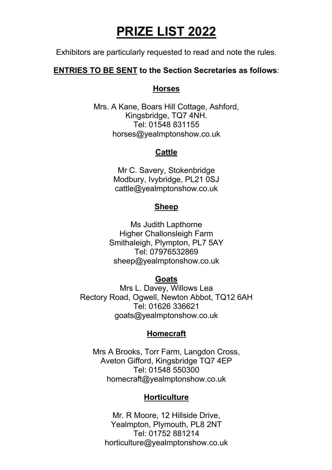## **PRIZE LIST 2022**

Exhibitors are particularly requested to read and note the rules.

#### **ENTRIES TO BE SENT to the Section Secretaries as follows**:

#### **Horses**

Mrs. A Kane, Boars Hill Cottage, Ashford, Kingsbridge, TQ7 4NH. Tel: 01548 831155 horses@yealmptonshow.co.uk

#### **Cattle**

Mr C. Savery, Stokenbridge Modbury, Ivybridge, PL21 0SJ cattle@yealmptonshow.co.uk

#### **Sheep**

Ms Judith Lapthorne Higher Challonsleigh Farm Smithaleigh, Plympton, PL7 5AY Tel: 07976532869 sheep@yealmptonshow.co.uk

#### **Goats**

Mrs L. Davey, Willows Lea Rectory Road, Ogwell, Newton Abbot, TQ12 6AH Tel: 01626 336621 goats@yealmptonshow.co.uk

#### **Homecraft**

Mrs A Brooks, Torr Farm, Langdon Cross, Aveton Gifford, Kingsbridge TQ7 4EP Tel: 01548 550300 homecraft@yealmptonshow.co.uk

#### **Horticulture**

Mr. R Moore, 12 Hillside Drive, Yealmpton, Plymouth, PL8 2NT Tel: 01752 881214 horticulture@yealmptonshow.co.uk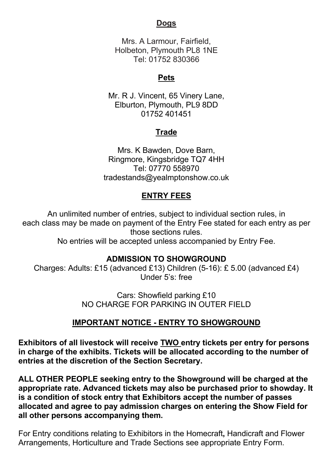#### **Dogs**

Mrs. A Larmour, Fairfield, Holbeton, Plymouth PL8 1NE Tel: 01752 830366

#### **Pets**

Mr. R J. Vincent, 65 Vinery Lane, Elburton, Plymouth, PL9 8DD 01752 401451

## **Trade**

Mrs. K Bawden, Dove Barn, Ringmore, Kingsbridge TQ7 4HH Tel: 07770 558970 tradestands@yealmptonshow.co.uk

## **ENTRY FEES**

An unlimited number of entries, subject to individual section rules, in each class may be made on payment of the Entry Fee stated for each entry as per those sections rules. No entries will be accepted unless accompanied by Entry Fee.

#### **ADMISSION TO SHOWGROUND**

Charges: Adults: £15 (advanced £13) Children (5-16): £ 5.00 (advanced £4) Under 5's: free

> Cars: Showfield parking £10 NO CHARGE FOR PARKING IN OUTER FIELD

#### **IMPORTANT NOTICE - ENTRY TO SHOWGROUND**

**Exhibitors of all livestock will receive TWO entry tickets per entry for persons in charge of the exhibits. Tickets will be allocated according to the number of entries at the discretion of the Section Secretary.**

**ALL OTHER PEOPLE seeking entry to the Showground will be charged at the appropriate rate. Advanced tickets may also be purchased prior to showday. It is a condition of stock entry that Exhibitors accept the number of passes allocated and agree to pay admission charges on entering the Show Field for all other persons accompanying them.**

For Entry conditions relating to Exhibitors in the Homecraft**,** Handicraft and Flower Arrangements, Horticulture and Trade Sections see appropriate Entry Form.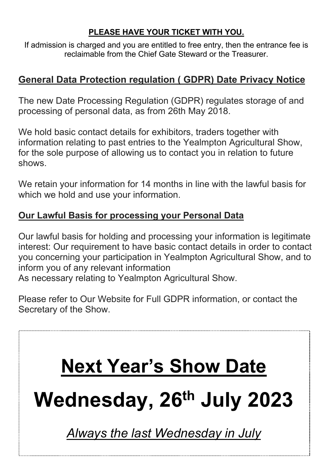## **PLEASE HAVE YOUR TICKET WITH YOU.**

If admission is charged and you are entitled to free entry, then the entrance fee is reclaimable from the Chief Gate Steward or the Treasurer.

## **General Data Protection regulation ( GDPR) Date Privacy Notice**

The new Date Processing Regulation (GDPR) regulates storage of and processing of personal data, as from 26th May 2018.

We hold basic contact details for exhibitors, traders together with information relating to past entries to the Yealmpton Agricultural Show, for the sole purpose of allowing us to contact you in relation to future shows.

We retain your information for 14 months in line with the lawful basis for which we hold and use your information.

## **Our Lawful Basis for processing your Personal Data**

Our lawful basis for holding and processing your information is legitimate interest: Our requirement to have basic contact details in order to contact you concerning your participation in Yealmpton Agricultural Show, and to inform you of any relevant information As necessary relating to Yealmpton Agricultural Show.

Please refer to Our Website for Full GDPR information, or contact the Secretary of the Show.

# **Next Year's Show Date**

**Wednesday, 26th July 2023**

*Always the last Wednesday in July*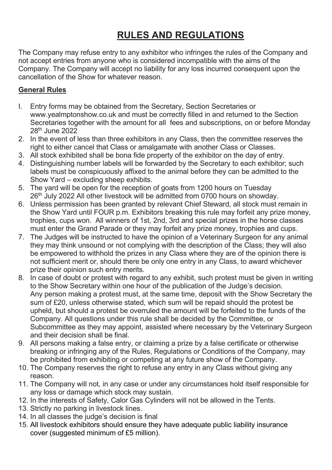## **RULES AND REGULATIONS**

The Company may refuse entry to any exhibitor who infringes the rules of the Company and not accept entries from anyone who is considered incompatible with the aims of the Company. The Company will accept no liability for any loss incurred consequent upon the cancellation of the Show for whatever reason.

#### **General Rules**

- I. Entry forms may be obtained from the Secretary, Section Secretaries or www.yealmptonshow.co.uk and must be correctly filled in and returned to the Section Secretaries together with the amount for all fees and subscriptions, on or before Monday 28<sup>th</sup> June 2022
- 2. In the event of less than three exhibitors in any Class, then the committee reserves the right to either cancel that Class or amalgamate with another Class or Classes.
- 3. All stock exhibited shall be bona fide property of the exhibitor on the day of entry.
- 4. Distinguishing number labels will be forwarded by the Secretary to each exhibitor; such labels must be conspicuously affixed to the animal before they can be admitted to the Show Yard – excluding sheep exhibits.
- 5. The yard will be open for the reception of goats from 1200 hours on Tuesday 26<sup>th</sup> July 2022 All other livestock will be admitted from 0700 hours on showday.
- 6. Unless permission has been granted by relevant Chief Steward, all stock must remain in the Show Yard until FOUR p.m. Exhibitors breaking this rule may forfeit any prize money, trophies, cups won. All winners of 1st, 2nd, 3rd and special prizes in the horse classes must enter the Grand Parade or they may forfeit any prize money, trophies and cups.
- 7. The Judges will be instructed to have the opinion of a Veterinary Surgeon for any animal they may think unsound or not complying with the description of the Class; they will also be empowered to withhold the prizes in any Class where they are of the opinion there is not sufficient merit or, should there be only one entry in any Class, to award whichever prize their opinion such entry merits.
- 8. In case of doubt or protest with regard to any exhibit, such protest must be given in writing to the Show Secretary within one hour of the publication of the Judge's decision. Any person making a protest must, at the same time, deposit with the Show Secretary the sum of £20, unless otherwise stated, which sum will be repaid should the protest be upheld, but should a protest be overruled the amount will be forfeited to the funds of the Company. All questions under this rule shall be decided by the Committee, or Subcommittee as they may appoint, assisted where necessary by the Veterinary Surgeon and their decision shall be final.
- 9. All persons making a false entry, or claiming a prize by a false certificate or otherwise breaking or infringing any of the Rules, Regulations or Conditions of the Company, may be prohibited from exhibiting or competing at any future show of the Company.
- 10. The Company reserves the right to refuse any entry in any Class without giving any reason.
- 11. The Company will not, in any case or under any circumstances hold itself responsible for any loss or damage which stock may sustain.
- 12. In the interests of Safety, Calor Gas Cylinders will not be allowed in the Tents.
- 13. Strictly no parking in livestock lines.
- 14. In all classes the judge's decision is final
- 15. All livestock exhibitors should ensure they have adequate public liability insurance cover (suggested minimum of £5 million).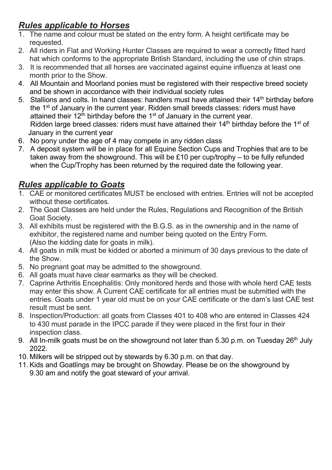## *Rules applicable to Horses*

- 1. The name and colour must be stated on the entry form. A height certificate may be requested.
- 2. All riders in Flat and Working Hunter Classes are required to wear a correctly fitted hard hat which conforms to the appropriate British Standard, including the use of chin straps.
- 3. It is recommended that all horses are vaccinated against equine influenza at least one month prior to the Show.
- 4. All Mountain and Moorland ponies must be registered with their respective breed society and be shown in accordance with their individual society rules
- 5. Stallions and colts. In hand classes: handlers must have attained their  $14<sup>th</sup>$  birthday before the 1st of January in the current year. Ridden small breeds classes: riders must have attained their  $12^{th}$  birthday before the  $1^{st}$  of January in the current year. Ridden large breed classes: riders must have attained their  $14<sup>th</sup>$  birthday before the 1<sup>st</sup> of January in the current year
- 6. No pony under the age of 4 may compete in any ridden class
- 7. A deposit system will be in place for all Equine Section Cups and Trophies that are to be taken away from the showground. This will be £10 per cup/trophy – to be fully refunded when the Cup/Trophy has been returned by the required date the following year.

## *Rules applicable to Goats*

- 1. CAE or monitored certificates MUST be enclosed with entries. Entries will not be accepted without these certificates.
- 2. The Goat Classes are held under the Rules, Regulations and Recognition of the British Goat Society.
- 3. All exhibits must be registered with the B.G.S. as in the ownership and in the name of exhibitor, the registered name and number being quoted on the Entry Form. (Also the kidding date for goats in milk).
- 4. All goats in milk must be kidded or aborted a minimum of 30 davs previous to the date of the Show.
- 5. No pregnant goat may be admitted to the showground.
- 6. All goats must have clear earmarks as they will be checked.
- 7. Caprine Arthritis Encephalitis: Only monitored herds and those with whole herd CAE tests may enter this show. A Current CAE certificate for all entries must be submitted with the entries. Goats under 1 year old must be on your CAE certificate or the dam's last CAE test result must be sent.
- 8. Inspection/Production: all goats from Classes 401 to 408 who are entered in Classes 424 to 430 must parade in the IPCC parade if they were placed in the first four in their inspection class.
- 9. All In-milk goats must be on the showground not later than 5.30 p.m. on Tuesday  $26<sup>th</sup>$  July 2022.
- 10. Milkers will be stripped out by stewards by 6.30 p.m. on that day.
- 11. Kids and Goatlings may be brought on Showday. Please be on the showground by 9.30 am and notify the goat steward of your arrival.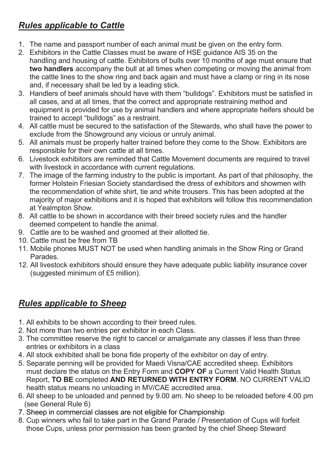## *Rules applicable to Cattle*

- 1. The name and passport number of each animal must be given on the entry form.
- 2. Exhibitors in the Cattle Classes must be aware of HSE guidance AIS 35 on the handling and housing of cattle. Exhibitors of bulls over 10 months of age must ensure that **two handlers** accompany the bull at all times when competing or moving the animal from the cattle lines to the show ring and back again and must have a clamp or ring in its nose and, if necessary shall be led by a leading stick.
- 3. Handlers of beef animals should have with them "bulldogs". Exhibitors must be satisfied in all cases, and at all times, that the correct and appropriate restraining method and equipment is provided for use by animal handlers and where appropriate heifers should be trained to accept "bulldogs" as a restraint.
- 4. All cattle must be secured to the satisfaction of the Stewards, who shall have the power to exclude from the Showground any vicious or unruly animal.
- 5. All animals must be properly halter trained before they come to the Show. Exhibitors are responsible for their own cattle at all times.
- 6. Livestock exhibitors are reminded that Cattle Movement documents are required to travel with livestock in accordance with current regulations.
- 7. The image of the farming industry to the public is important. As part of that philosophy, the former Holstein Friesian Society standardised the dress of exhibitors and showmen with the recommendation of white shirt, tie and white trousers. This has been adopted at the majority of major exhibitions and it is hoped that exhibitors will follow this recommendation at Yealmpton Show.
- 8. All cattle to be shown in accordance with their breed society rules and the handler deemed competent to handle the animal.
- 9. Cattle are to be washed and groomed at their allotted tie.
- 10. Cattle must be free from TB
- 11. Mobile phones MUST NOT be used when handling animals in the Show Ring or Grand Parades.
- 12. All livestock exhibitors should ensure they have adequate public liability insurance cover (suggested minimum of £5 million).

## *Rules applicable to Sheep*

- 1. All exhibits to be shown according to their breed rules.
- 2. Not more than two entries per exhibitor in each Class.
- 3. The committee reserve the right to cancel or amalgamate any classes if less than three entries or exhibitors in a class
- 4. All stock exhibited shall be bona fide property of the exhibitor on day of entry.
- 5. Separate penning will be provided for Maedi Visna/CAE accredited sheep. Exhibitors must declare the status on the Entry Form and **COPY OF** a Current Valid Health Status Report, **TO BE** completed **AND RETURNED WITH ENTRY FORM**. NO CURRENT VALID health status means no unloading in MV/CAE accredited area.
- 6. All sheep to be unloaded and penned by 9.00 am. No sheep to be reloaded before 4.00 pm (see General Rule 6)
- 7. Sheep in commercial classes are not eligible for Championship
- 8. Cup winners who fail to take part in the Grand Parade / Presentation of Cups will forfeit those Cups, unless prior permission has been granted by the chief Sheep Steward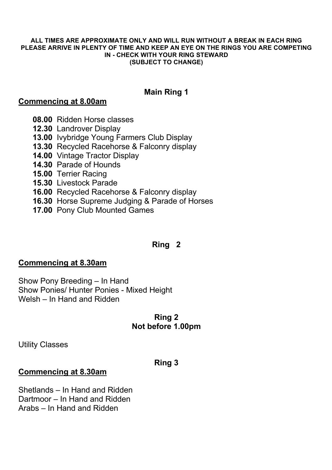#### **ALL TIMES ARE APPROXIMATE ONLY AND WILL RUN WITHOUT A BREAK IN EACH RING PLEASE ARRIVE IN PLENTY OF TIME AND KEEP AN EYE ON THE RINGS YOU ARE COMPETING IN - CHECK WITH YOUR RING STEWARD (SUBJECT TO CHANGE)**

#### **Main Ring 1**

#### **Commencing at 8.00am**

- **08.00** Ridden Horse classes
- **12.30** Landrover Display
- **13.00** Ivybridge Young Farmers Club Display
- **13.30** Recycled Racehorse & Falconry display
- **14.00** Vintage Tractor Display
- **14.30** Parade of Hounds
- **15.00** Terrier Racing
- **15.30** Livestock Parade
- **16.00** Recycled Racehorse & Falconry display
- **16.30** Horse Supreme Judging & Parade of Horses
- **17.00** Pony Club Mounted Games

#### **Ring 2**

#### **Commencing at 8.30am**

Show Pony Breeding – In Hand Show Ponies/ Hunter Ponies - Mixed Height Welsh – In Hand and Ridden

#### **Ring 2 Not before 1.00pm**

Utility Classes

#### **Ring 3**

#### **Commencing at 8.30am**

Shetlands – In Hand and Ridden Dartmoor – In Hand and Ridden Arabs – In Hand and Ridden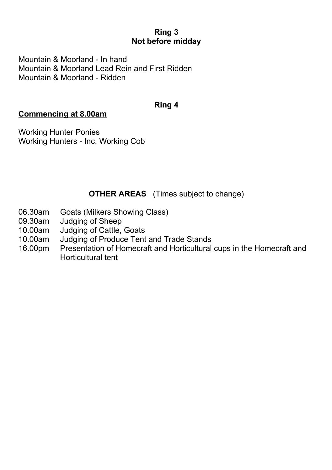#### **Ring 3 Not before midday**

Mountain & Moorland - In hand Mountain & Moorland Lead Rein and First Ridden Mountain & Moorland - Ridden

#### **Ring 4**

#### **Commencing at 8.00am**

Working Hunter Ponies Working Hunters - Inc. Working Cob

#### **OTHER AREAS** (Times subject to change)

- 06.30am Goats (Milkers Showing Class)
- 09.30am Judging of Sheep
- 10.00am Judging of Cattle, Goats<br>10.00am Judging of Produce Tent
- 10.00am Judging of Produce Tent and Trade Stands<br>16.00pm Presentation of Homecraft and Horticultural
- Presentation of Homecraft and Horticultural cups in the Homecraft and Horticultural tent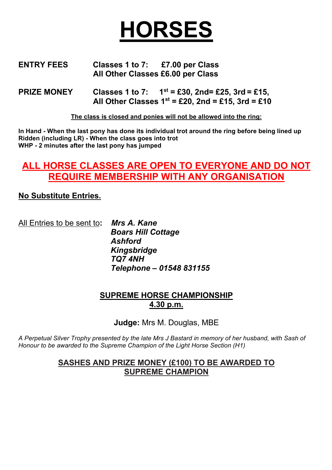

#### **ENTRY FEES Classes 1 to 7: £7.00 per Class All Other Classes £6.00 per Class**

**PRIZE MONEY** Classes 1 to 7:  $1^{st} = £30$ , 2nd= £25, 3rd = £15,  **All Other Classes 1st = £20, 2nd = £15, 3rd = £10**

**The class is closed and ponies will not be allowed into the ring:**

**In Hand - When the last pony has done its individual trot around the ring before being lined up Ridden (including LR) - When the class goes into trot WHP - 2 minutes after the last pony has jumped**

## **ALL HORSE CLASSES ARE OPEN TO EVERYONE AND DO NOT REQUIRE MEMBERSHIP WITH ANY ORGANISATION**

#### **No Substitute Entries.**

All Entries to be sent to**:** *Mrs A. Kane Boars Hill Cottage Ashford Kingsbridge TQ7 4NH Telephone – 01548 831155*

#### **SUPREME HORSE CHAMPIONSHIP 4.30 p.m.**

**Judge:** Mrs M. Douglas, MBE

*A Perpetual Silver Trophy presented by the late Mrs J Bastard in memory of her husband, with Sash of Honour to be awarded to the Supreme Champion of the Light Horse Section (H1)*

#### **SASHES AND PRIZE MONEY (£100) TO BE AWARDED TO SUPREME CHAMPION**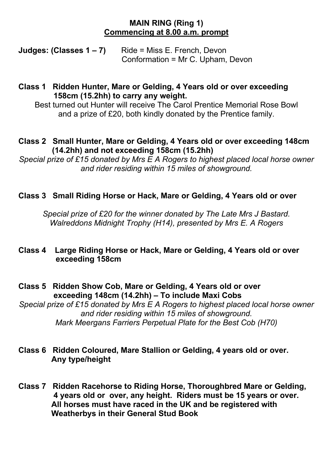#### **MAIN RING (Ring 1) Commencing at 8.00 a.m. prompt**

**Judges: (Classes 1 – 7)** Ride = Miss E. French, Devon Conformation = Mr C. Upham, Devon

#### **Class 1 Ridden Hunter, Mare or Gelding, 4 Years old or over exceeding 158cm (15.2hh) to carry any weight.**

Best turned out Hunter will receive The Carol Prentice Memorial Rose Bowl and a prize of £20, both kindly donated by the Prentice family.

#### **Class 2 Small Hunter, Mare or Gelding, 4 Years old or over exceeding 148cm (14.2hh) and not exceeding 158cm (15.2hh)**

*Special prize of £15 donated by Mrs E A Rogers to highest placed local horse owner and rider residing within 15 miles of showground.*

#### **Class 3 Small Riding Horse or Hack, Mare or Gelding, 4 Years old or over**

*Special prize of £20 for the winner donated by The Late Mrs J Bastard. Walreddons Midnight Trophy (H14), presented by Mrs E. A Rogers*

#### **Class 4 Large Riding Horse or Hack, Mare or Gelding, 4 Years old or over exceeding 158cm**

**Class 5 Ridden Show Cob, Mare or Gelding, 4 Years old or over exceeding 148cm (14.2hh) – To include Maxi Cobs**

*Special prize of £15 donated by Mrs E A Rogers to highest placed local horse owner and rider residing within 15 miles of showground. Mark Meergans Farriers Perpetual Plate for the Best Cob (H70)*

#### **Class 6 Ridden Coloured, Mare Stallion or Gelding, 4 years old or over. Any type/height**

**Class 7 Ridden Racehorse to Riding Horse, Thoroughbred Mare or Gelding, 4 years old or over, any height. Riders must be 15 years or over. All horses must have raced in the UK and be registered with Weatherbys in their General Stud Book**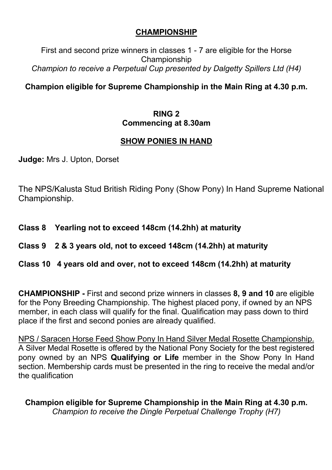#### **CHAMPIONSHIP**

First and second prize winners in classes 1 - 7 are eligible for the Horse Championship *Champion to receive a Perpetual Cup presented by Dalgetty Spillers Ltd (H4)*

## **Champion eligible for Supreme Championship in the Main Ring at 4.30 p.m.**

#### **RING 2 Commencing at 8.30am**

## **SHOW PONIES IN HAND**

**Judge:** Mrs J. Upton, Dorset

The NPS/Kalusta Stud British Riding Pony (Show Pony) In Hand Supreme National Championship.

**Class 8 Yearling not to exceed 148cm (14.2hh) at maturity**

#### **Class 9 2 & 3 years old, not to exceed 148cm (14.2hh) at maturity**

#### **Class 10 4 years old and over, not to exceed 148cm (14.2hh) at maturity**

**CHAMPIONSHIP -** First and second prize winners in classes **8, 9 and 10** are eligible for the Pony Breeding Championship. The highest placed pony, if owned by an NPS member, in each class will qualify for the final. Qualification may pass down to third place if the first and second ponies are already qualified.

NPS / Saracen Horse Feed Show Pony In Hand Silver Medal Rosette Championship. A Silver Medal Rosette is offered by the National Pony Society for the best registered pony owned by an NPS **Qualifying or Life** member in the Show Pony In Hand section. Membership cards must be presented in the ring to receive the medal and/or the qualification

**Champion eligible for Supreme Championship in the Main Ring at 4.30 p.m.** *Champion to receive the Dingle Perpetual Challenge Trophy (H7)*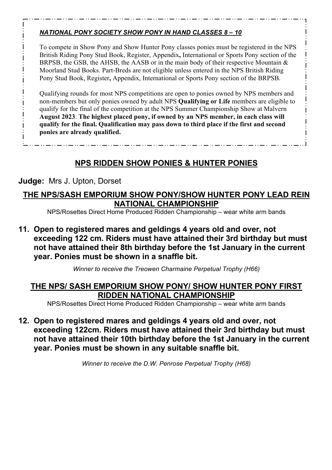#### *NATIONAL PONY SOCIETY SHOW PONY IN HAND CLASSES 8 – 10*

To compete in Show Pony and Show Hunter Pony classes ponies must be registered in the NPS British Riding Pony Stud Book, Register, Appendix**,** International or Sports Pony section of the BRPSB, the GSB, the AHSB, the AASB or in the main body of their respective Mountain & Moorland Stud Books. Part-Breds are not eligible unless entered in the NPS British Riding Pony Stud Book, Register**,** Appendix, International or Sports Pony section of the BRPSB.

Qualifying rounds for most NPS competitions are open to ponies owned by NPS members and non-members but only ponies owned by adult NPS **Qualifying or Life** members are eligible to qualify for the final of the competition at the NPS Summer Championship Show at Malvern **August 2023**. **The highest placed pony, if owned by an NPS member, in each class will qualify for the final. Qualification may pass down to third place if the first and second ponies are already qualified.**

## **NPS RIDDEN SHOW PONIES & HUNTER PONIES**

#### **Judge:** Mrs J. Upton, Dorset

#### **THE NPS/SASH EMPORIUM SHOW PONY/SHOW HUNTER PONY LEAD REIN NATIONAL CHAMPIONSHIP**

NPS/Rosettes Direct Home Produced Ridden Championship – wear white arm bands

**11. Open to registered mares and geldings 4 years old and over, not exceeding 122 cm. Riders must have attained their 3rd birthday but must not have attained their 8th birthday before the 1st January in the current year. Ponies must be shown in a snaffle bit.** 

*Winner to receive the Treowen Charmaine Perpetual Trophy (H66)*

#### **THE NPS/ SASH EMPORIUM SHOW PONY/ SHOW HUNTER PONY FIRST RIDDEN NATIONAL CHAMPIONSHIP**

NPS/Rosettes Direct Home Produced Ridden Championship – wear white arm bands

**12. Open to registered mares and geldings 4 years old and over, not exceeding 122cm. Riders must have attained their 3rd birthday but must not have attained their 10th birthday before the 1st January in the current year. Ponies must be shown in any suitable snaffle bit.**

*Winner to receive the D.W. Penrose Perpetual Trophy (H68)*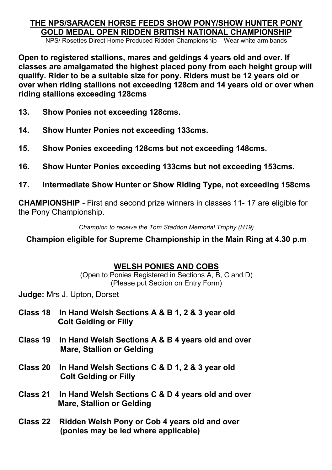## **THE NPS/SARACEN HORSE FEEDS SHOW PONY/SHOW HUNTER PONY GOLD MEDAL OPEN RIDDEN BRITISH NATIONAL CHAMPIONSHIP**

NPS/ Rosettes Direct Home Produced Ridden Championship – Wear white arm bands

**Open to registered stallions, mares and geldings 4 years old and over. If classes are amalgamated the highest placed pony from each height group will qualify. Rider to be a suitable size for pony. Riders must be 12 years old or over when riding stallions not exceeding 128cm and 14 years old or over when riding stallions exceeding 128cms**

- **13. Show Ponies not exceeding 128cms.**
- **14. Show Hunter Ponies not exceeding 133cms.**
- **15. Show Ponies exceeding 128cms but not exceeding 148cms.**
- **16. Show Hunter Ponies exceeding 133cms but not exceeding 153cms.**
- **17. Intermediate Show Hunter or Show Riding Type, not exceeding 158cms**

**CHAMPIONSHIP -** First and second prize winners in classes 11- 17 are eligible for the Pony Championship.

*Champion to receive the Tom Staddon Memorial Trophy (H19)*

**Champion eligible for Supreme Championship in the Main Ring at 4.30 p.m**

#### **WELSH PONIES AND COBS**

(Open to Ponies Registered in Sections A, B, C and D) (Please put Section on Entry Form)

**Judge:** Mrs J. Upton, Dorset

- **Class 18 In Hand Welsh Sections A & B 1, 2 & 3 year old Colt Gelding or Filly**
- **Class 19 In Hand Welsh Sections A & B 4 years old and over Mare, Stallion or Gelding**
- **Class 20 In Hand Welsh Sections C & D 1, 2 & 3 year old Colt Gelding or Filly**
- **Class 21 In Hand Welsh Sections C & D 4 years old and over Mare, Stallion or Gelding**
- **Class 22 Ridden Welsh Pony or Cob 4 years old and over (ponies may be led where applicable)**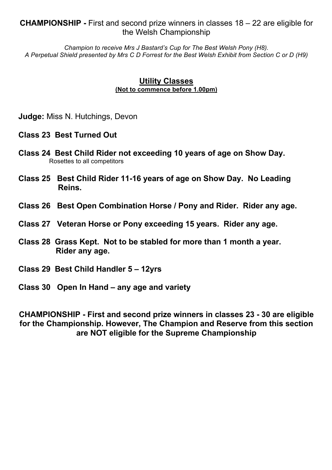#### **CHAMPIONSHIP -** First and second prize winners in classes 18 – 22 are eligible for the Welsh Championship

*Champion to receive Mrs J Bastard's Cup for The Best Welsh Pony (H8). A Perpetual Shield presented by Mrs C D Forrest for the Best Welsh Exhibit from Section C or D (H9)*

#### **Utility Classes (Not to commence before 1.00pm)**

**Judge:** Miss N. Hutchings, Devon

#### **Class 23 Best Turned Out**

- **Class 24 Best Child Rider not exceeding 10 years of age on Show Day.** Rosettes to all competitors
- **Class 25 Best Child Rider 11-16 years of age on Show Day. No Leading Reins.**
- **Class 26 Best Open Combination Horse / Pony and Rider. Rider any age.**
- **Class 27 Veteran Horse or Pony exceeding 15 years. Rider any age.**
- **Class 28 Grass Kept. Not to be stabled for more than 1 month a year. Rider any age.**
- **Class 29 Best Child Handler 5 – 12yrs**
- **Class 30 Open In Hand – any age and variety**

**CHAMPIONSHIP - First and second prize winners in classes 23 - 30 are eligible for the Championship. However, The Champion and Reserve from this section are NOT eligible for the Supreme Championship**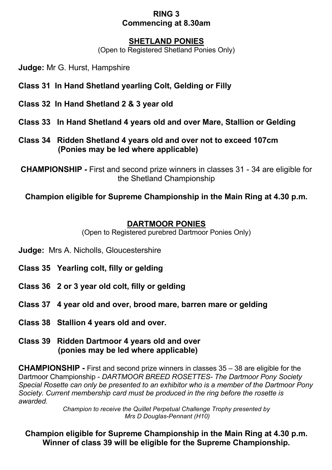#### **RING 3 Commencing at 8.30am**

#### **SHETLAND PONIES**

(Open to Registered Shetland Ponies Only)

**Judge:** Mr G. Hurst, Hampshire

- **Class 31 In Hand Shetland yearling Colt, Gelding or Filly**
- **Class 32 In Hand Shetland 2 & 3 year old**
- **Class 33 In Hand Shetland 4 years old and over Mare, Stallion or Gelding**
- **Class 34 Ridden Shetland 4 years old and over not to exceed 107cm (Ponies may be led where applicable)**

**CHAMPIONSHIP -** First and second prize winners in classes 31 - 34 are eligible for the Shetland Championship

**Champion eligible for Supreme Championship in the Main Ring at 4.30 p.m.**

#### **DARTMOOR PONIES**

(Open to Registered purebred Dartmoor Ponies Only)

- **Judge:** Mrs A. Nicholls, Gloucestershire
- **Class 35 Yearling colt, filly or gelding**
- **Class 36 2 or 3 year old colt, filly or gelding**
- **Class 37 4 year old and over, brood mare, barren mare or gelding**
- **Class 38 Stallion 4 years old and over.**
- **Class 39 Ridden Dartmoor 4 years old and over (ponies may be led where applicable)**

**CHAMPIONSHIP -** First and second prize winners in classes 35 – 38 are eligible for the Dartmoor Championship - *DARTMOOR BREED ROSETTES- The Dartmoor Pony Society Special Rosette can only be presented to an exhibitor who is a member of the Dartmoor Pony Society. Current membership card must be produced in the ring before the rosette is awarded.*

> *Champion to receive the Quillet Perpetual Challenge Trophy presented by Mrs D Douglas-Pennant (H10)*

**Champion eligible for Supreme Championship in the Main Ring at 4.30 p.m. Winner of class 39 will be eligible for the Supreme Championship.**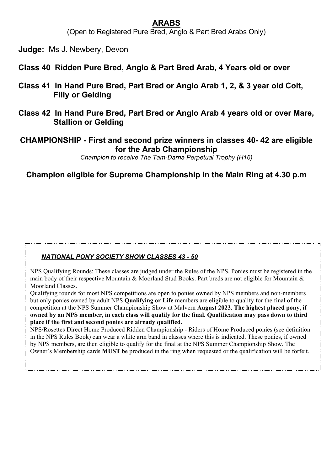#### **ARABS**

(Open to Registered Pure Bred, Anglo & Part Bred Arabs Only)

**Judge:** Ms J. Newbery, Devon

- **Class 40 Ridden Pure Bred, Anglo & Part Bred Arab, 4 Years old or over**
- **Class 41 In Hand Pure Bred, Part Bred or Anglo Arab 1, 2, & 3 year old Colt, Filly or Gelding**
- **Class 42 In Hand Pure Bred, Part Bred or Anglo Arab 4 years old or over Mare, Stallion or Gelding**

#### **CHAMPIONSHIP - First and second prize winners in classes 40- 42 are eligible for the Arab Championship**

*Champion to receive The Tam-Darna Perpetual Trophy (H16)*

**Champion eligible for Supreme Championship in the Main Ring at 4.30 p.m**

#### *NATIONAL PONY SOCIETY SHOW CLASSES 43 - 50*

NPS Qualifying Rounds: These classes are judged under the Rules of the NPS. Ponies must be registered in the main body of their respective Mountain & Moorland Stud Books. Part breds are not eligible for Mountain & Moorland Classes.

Qualifying rounds for most NPS competitions are open to ponies owned by NPS members and non-members but only ponies owned by adult NPS **Qualifying or Life** members are eligible to qualify for the final of the competition at the NPS Summer Championship Show at Malvern **August 2023**. **The highest placed pony, if owned by an NPS member, in each class will qualify for the final. Qualification may pass down to third place if the first and second ponies are already qualified.**

NPS/Rosettes Direct Home Produced Ridden Championship - Riders of Home Produced ponies (see definition in the NPS Rules Book) can wear a white arm band in classes where this is indicated. These ponies, if owned by NPS members, are then eligible to qualify for the final at the NPS Summer Championship Show. The Owner's Membership cards **MUST** be produced in the ring when requested or the qualification will be forfeit.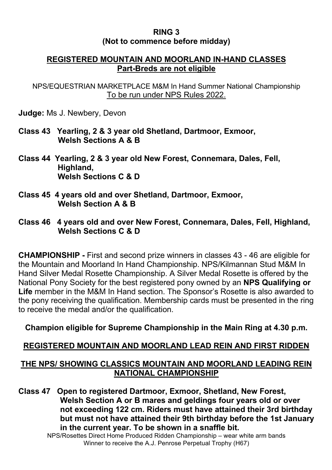#### **RING 3 (Not to commence before midday)**

#### **REGISTERED MOUNTAIN AND MOORLAND IN-HAND CLASSES Part-Breds are not eligible**

NPS/EQUESTRIAN MARKETPLACE M&M In Hand Summer National Championship To be run under NPS Rules 2022.

**Judge:** Ms J. Newbery, Devon

- **Class 43 Yearling, 2 & 3 year old Shetland, Dartmoor, Exmoor, Welsh Sections A & B**
- **Class 44 Yearling, 2 & 3 year old New Forest, Connemara, Dales, Fell, Highland, Welsh Sections C & D**
- **Class 45 4 years old and over Shetland, Dartmoor, Exmoor, Welsh Section A & B**
- **Class 46 4 years old and over New Forest, Connemara, Dales, Fell, Highland, Welsh Sections C & D**

**CHAMPIONSHIP -** First and second prize winners in classes 43 - 46 are eligible for the Mountain and Moorland In Hand Championship. NPS/Kilmannan Stud M&M In Hand Silver Medal Rosette Championship. A Silver Medal Rosette is offered by the National Pony Society for the best registered pony owned by an **NPS Qualifying or Life** member in the M&M In Hand section. The Sponsor's Rosette is also awarded to the pony receiving the qualification. Membership cards must be presented in the ring to receive the medal and/or the qualification.

#### **Champion eligible for Supreme Championship in the Main Ring at 4.30 p.m.**

#### **REGISTERED MOUNTAIN AND MOORLAND LEAD REIN AND FIRST RIDDEN**

#### **THE NPS/ SHOWING CLASSICS MOUNTAIN AND MOORLAND LEADING REIN NATIONAL CHAMPIONSHIP**

**Class 47 Open to registered Dartmoor, Exmoor, Shetland, New Forest, Welsh Section A or B mares and geldings four years old or over not exceeding 122 cm. Riders must have attained their 3rd birthday but must not have attained their 9th birthday before the 1st January in the current year. To be shown in a snaffle bit.**

NPS/Rosettes Direct Home Produced Ridden Championship – wear white arm bands Winner to receive the A.J. Penrose Perpetual Trophy (H67)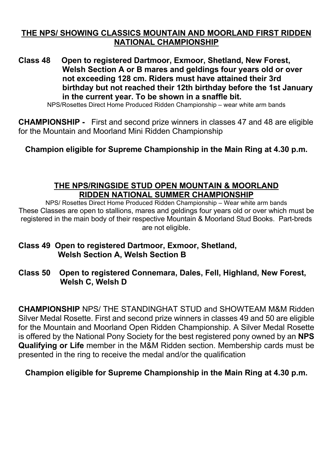#### **THE NPS/ SHOWING CLASSICS MOUNTAIN AND MOORLAND FIRST RIDDEN NATIONAL CHAMPIONSHIP**

**Class 48 Open to registered Dartmoor, Exmoor, Shetland, New Forest, Welsh Section A or B mares and geldings four years old or over not exceeding 128 cm. Riders must have attained their 3rd birthday but not reached their 12th birthday before the 1st January in the current year. To be shown in a snaffle bit.**

NPS/Rosettes Direct Home Produced Ridden Championship – wear white arm bands

**CHAMPIONSHIP -** First and second prize winners in classes 47 and 48 are eligible for the Mountain and Moorland Mini Ridden Championship

**Champion eligible for Supreme Championship in the Main Ring at 4.30 p.m.**

#### **THE NPS/RINGSIDE STUD OPEN MOUNTAIN & MOORLAND RIDDEN NATIONAL SUMMER CHAMPIONSHIP**

NPS/ Rosettes Direct Home Produced Ridden Championship – Wear white arm bands These Classes are open to stallions, mares and geldings four years old or over which must be registered in the main body of their respective Mountain & Moorland Stud Books. Part-breds are not eligible.

#### **Class 49 Open to registered Dartmoor, Exmoor, Shetland, Welsh Section A, Welsh Section B**

**Class 50 Open to registered Connemara, Dales, Fell, Highland, New Forest, Welsh C, Welsh D** 

**CHAMPIONSHIP** NPS/ THE STANDINGHAT STUD and SHOWTEAM M&M Ridden Silver Medal Rosette. First and second prize winners in classes 49 and 50 are eligible for the Mountain and Moorland Open Ridden Championship. A Silver Medal Rosette is offered by the National Pony Society for the best registered pony owned by an **NPS Qualifying or Life** member in the M&M Ridden section. Membership cards must be presented in the ring to receive the medal and/or the qualification

#### **Champion eligible for Supreme Championship in the Main Ring at 4.30 p.m.**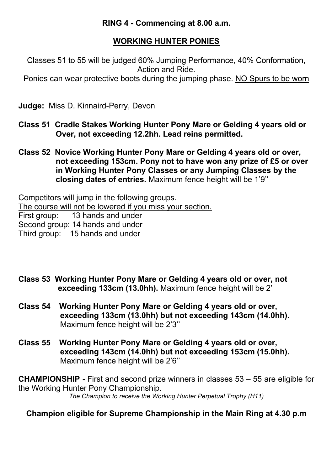#### **RING 4 - Commencing at 8.00 a.m.**

## **WORKING HUNTER PONIES**

Classes 51 to 55 will be judged 60% Jumping Performance, 40% Conformation, Action and Ride.

Ponies can wear protective boots during the jumping phase. NO Spurs to be worn

**Judge:** Miss D. Kinnaird-Perry, Devon

- **Class 51 Cradle Stakes Working Hunter Pony Mare or Gelding 4 years old or Over, not exceeding 12.2hh. Lead reins permitted.**
- **Class 52 Novice Working Hunter Pony Mare or Gelding 4 years old or over, not exceeding 153cm. Pony not to have won any prize of £5 or over in Working Hunter Pony Classes or any Jumping Classes by the closing dates of entries.** Maximum fence height will be 1'9''

Competitors will jump in the following groups. The course will not be lowered if you miss your section. First group: 13 hands and under Second group: 14 hands and under Third group: 15 hands and under

- **Class 53 Working Hunter Pony Mare or Gelding 4 years old or over, not exceeding 133cm (13.0hh).** Maximum fence height will be 2'
- **Class 54 Working Hunter Pony Mare or Gelding 4 years old or over, exceeding 133cm (13.0hh) but not exceeding 143cm (14.0hh).** Maximum fence height will be 2'3''
- **Class 55 Working Hunter Pony Mare or Gelding 4 years old or over, exceeding 143cm (14.0hh) but not exceeding 153cm (15.0hh).** Maximum fence height will be 2'6''

**CHAMPIONSHIP -** First and second prize winners in classes 53 – 55 are eligible for the Working Hunter Pony Championship. *The Champion to receive the Working Hunter Perpetual Trophy (H11)*

**Champion eligible for Supreme Championship in the Main Ring at 4.30 p.m**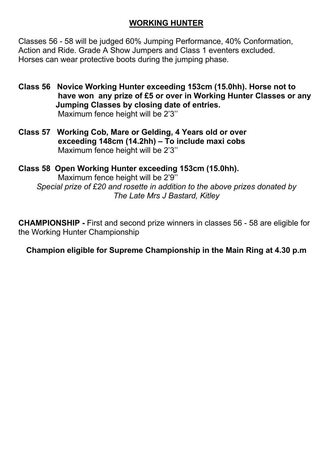#### **WORKING HUNTER**

Classes 56 - 58 will be judged 60% Jumping Performance, 40% Conformation, Action and Ride. Grade A Show Jumpers and Class 1 eventers excluded. Horses can wear protective boots during the jumping phase.

- **Class 56 Novice Working Hunter exceeding 153cm (15.0hh). Horse not to have won any prize of £5 or over in Working Hunter Classes or any Jumping Classes by closing date of entries.** Maximum fence height will be 2'3''
- **Class 57 Working Cob, Mare or Gelding, 4 Years old or over exceeding 148cm (14.2hh) – To include maxi cobs** Maximum fence height will be 2'3''

**Class 58 Open Working Hunter exceeding 153cm (15.0hh).** Maximum fence height will be 2'9'' *Special prize of £20 and rosette in addition to the above prizes donated by The Late Mrs J Bastard, Kitley*

**CHAMPIONSHIP -** First and second prize winners in classes 56 - 58 are eligible for the Working Hunter Championship

**Champion eligible for Supreme Championship in the Main Ring at 4.30 p.m**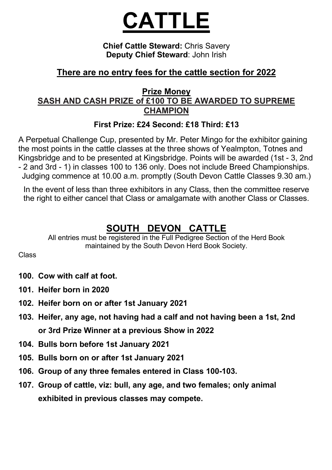# **CATTLE**

**Chief Cattle Steward:** Chris Savery **Deputy Chief Steward**: John Irish

## **There are no entry fees for the cattle section for 2022**

#### **Prize Money SASH AND CASH PRIZE of £100 TO BE AWARDED TO SUPREME CHAMPION**

#### **First Prize: £24 Second: £18 Third: £13**

A Perpetual Challenge Cup, presented by Mr. Peter Mingo for the exhibitor gaining the most points in the cattle classes at the three shows of Yealmpton, Totnes and Kingsbridge and to be presented at Kingsbridge. Points will be awarded (1st - 3, 2nd - 2 and 3rd - 1) in classes 100 to 136 only. Does not include Breed Championships. Judging commence at 10.00 a.m. promptly (South Devon Cattle Classes 9.30 am.)

In the event of less than three exhibitors in any Class, then the committee reserve the right to either cancel that Class or amalgamate with another Class or Classes.

## **SOUTH DEVON CATTLE**

All entries must be registered in the Full Pedigree Section of the Herd Book maintained by the South Devon Herd Book Society.

Class

- **100. Cow with calf at foot.**
- **101. Heifer born in 2020**
- **102. Heifer born on or after 1st January 2021**
- **103. Heifer, any age, not having had a calf and not having been a 1st, 2nd or 3rd Prize Winner at a previous Show in 2022**
- **104. Bulls born before 1st January 2021**
- **105. Bulls born on or after 1st January 2021**
- **106. Group of any three females entered in Class 100-103.**
- **107. Group of cattle, viz: bull, any age, and two females; only animal exhibited in previous classes may compete.**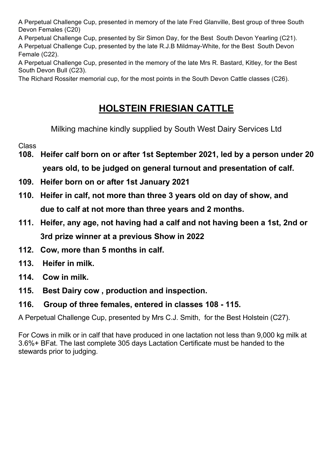A Perpetual Challenge Cup, presented in memory of the late Fred Glanville, Best group of three South Devon Females (C20)

A Perpetual Challenge Cup, presented by Sir Simon Day, for the Best South Devon Yearling (C21). A Perpetual Challenge Cup, presented by the late R.J.B Mildmay-White, for the Best South Devon Female (C22).

A Perpetual Challenge Cup, presented in the memory of the late Mrs R. Bastard, Kitley, for the Best South Devon Bull (C23).

The Richard Rossiter memorial cup, for the most points in the South Devon Cattle classes (C26).

## **HOLSTEIN FRIESIAN CATTLE**

Milking machine kindly supplied by South West Dairy Services Ltd

Class

- **108. Heifer calf born on or after 1st September 2021, led by a person under 20 years old, to be judged on general turnout and presentation of calf.**
- **109. Heifer born on or after 1st January 2021**
- **110. Heifer in calf, not more than three 3 years old on day of show, and due to calf at not more than three years and 2 months.**
- **111. Heifer, any age, not having had a calf and not having been a 1st, 2nd or 3rd prize winner at a previous Show in 2022**
- **112. Cow, more than 5 months in calf.**
- **113. Heifer in milk.**
- **114. Cow in milk.**
- **115. Best Dairy cow , production and inspection.**

#### **116. Group of three females, entered in classes 108 - 115.**

A Perpetual Challenge Cup, presented by Mrs C.J. Smith, for the Best Holstein (C27).

For Cows in milk or in calf that have produced in one lactation not less than 9,000 kg milk at 3.6%+ BFat. The last complete 305 days Lactation Certificate must be handed to the stewards prior to judging.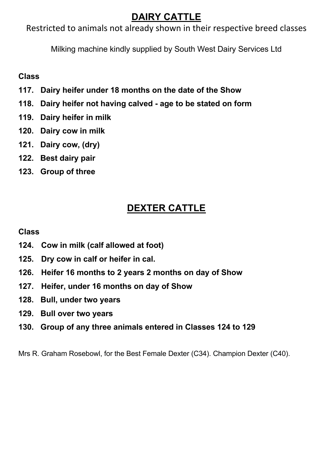## **DAIRY CATTLE**

Restricted to animals not already shown in their respective breed classes

Milking machine kindly supplied by South West Dairy Services Ltd

#### **Class**

- **117. Dairy heifer under 18 months on the date of the Show**
- **118. Dairy heifer not having calved - age to be stated on form**
- **119. Dairy heifer in milk**
- **120. Dairy cow in milk**
- **121. Dairy cow, (dry)**
- **122. Best dairy pair**
- **123. Group of three**

## **DEXTER CATTLE**

#### **Class**

- **124. Cow in milk (calf allowed at foot)**
- **125. Dry cow in calf or heifer in cal.**
- **126. Heifer 16 months to 2 years 2 months on day of Show**
- **127. Heifer, under 16 months on day of Show**
- **128. Bull, under two years**
- **129. Bull over two years**
- **130. Group of any three animals entered in Classes 124 to 129**

Mrs R. Graham Rosebowl, for the Best Female Dexter (C34). Champion Dexter (C40).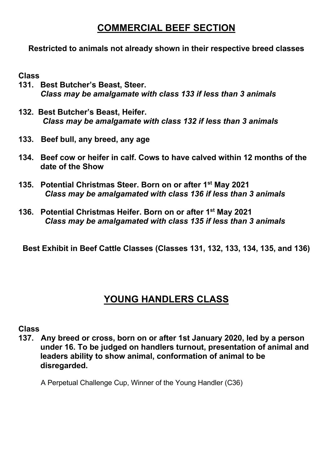## **COMMERCIAL BEEF SECTION**

#### **Restricted to animals not already shown in their respective breed classes**

#### **Class**

- **131. Best Butcher's Beast, Steer.** *Class may be amalgamate with class 133 if less than 3 animals*
- **132. Best Butcher's Beast, Heifer.** *Class may be amalgamate with class 132 if less than 3 animals*
- **133. Beef bull, any breed, any age**
- **134. Beef cow or heifer in calf. Cows to have calved within 12 months of the date of the Show**
- **135. Potential Christmas Steer. Born on or after 1st May 2021**  *Class may be amalgamated with class 136 if less than 3 animals*
- **136. Potential Christmas Heifer. Born on or after 1st May 2021**  *Class may be amalgamated with class 135 if less than 3 animals*

**Best Exhibit in Beef Cattle Classes (Classes 131, 132, 133, 134, 135, and 136)**

## **YOUNG HANDLERS CLASS**

#### **Class**

**137. Any breed or cross, born on or after 1st January 2020, led by a person under 16. To be judged on handlers turnout, presentation of animal and leaders ability to show animal, conformation of animal to be disregarded.**

A Perpetual Challenge Cup, Winner of the Young Handler (C36)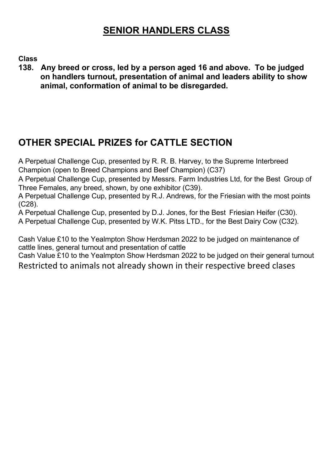## **SENIOR HANDLERS CLASS**

**Class**

**138. Any breed or cross, led by a person aged 16 and above. To be judged on handlers turnout, presentation of animal and leaders ability to show animal, conformation of animal to be disregarded.**

## **OTHER SPECIAL PRIZES for CATTLE SECTION**

A Perpetual Challenge Cup, presented by R. R. B. Harvey, to the Supreme Interbreed Champion (open to Breed Champions and Beef Champion) (C37)

A Perpetual Challenge Cup, presented by Messrs. Farm Industries Ltd, for the Best Group of Three Females, any breed, shown, by one exhibitor (C39).

A Perpetual Challenge Cup, presented by R.J. Andrews, for the Friesian with the most points (C28).

A Perpetual Challenge Cup, presented by D.J. Jones, for the Best Friesian Heifer (C30). A Perpetual Challenge Cup, presented by W.K. Pitss LTD., for the Best Dairy Cow (C32).

Cash Value £10 to the Yealmpton Show Herdsman 2022 to be judged on maintenance of cattle lines, general turnout and presentation of cattle

Cash Value £10 to the Yealmpton Show Herdsman 2022 to be judged on their general turnout Restricted to animals not already shown in their respective breed clases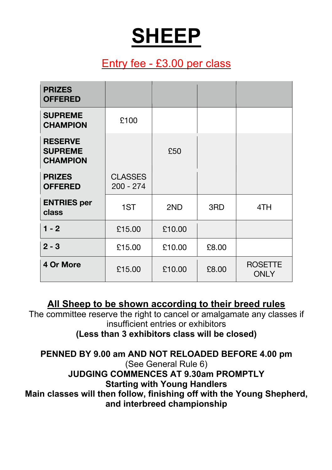# **SHEEP**

## Entry fee - £3.00 per class

| <b>PRIZES</b><br><b>OFFERED</b>                     |                               |        |       |                               |
|-----------------------------------------------------|-------------------------------|--------|-------|-------------------------------|
| <b>SUPREME</b><br><b>CHAMPION</b>                   | £100                          |        |       |                               |
| <b>RESERVE</b><br><b>SUPREME</b><br><b>CHAMPION</b> |                               | £50    |       |                               |
| <b>PRIZES</b><br><b>OFFERED</b>                     | <b>CLASSES</b><br>$200 - 274$ |        |       |                               |
| <b>ENTRIES</b> per<br>class                         | 1ST                           | 2ND    | 3RD   | 4TH                           |
| $1 - 2$                                             | £15.00                        | £10.00 |       |                               |
| $2 - 3$                                             | £15.00                        | £10.00 | £8.00 |                               |
| 4 Or More                                           | £15.00                        | £10.00 | £8.00 | <b>ROSETTE</b><br><b>ONLY</b> |

**All Sheep to be shown according to their breed rules**

The committee reserve the right to cancel or amalgamate any classes if insufficient entries or exhibitors **(Less than 3 exhibitors class will be closed)**

**PENNED BY 9.00 am AND NOT RELOADED BEFORE 4.00 pm** (See General Rule 6) **JUDGING COMMENCES AT 9.30am PROMPTLY Starting with Young Handlers Main classes will then follow, finishing off with the Young Shepherd, and interbreed championship**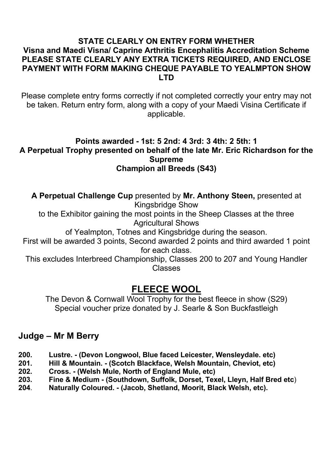#### **STATE CLEARLY ON ENTRY FORM WHETHER Visna and Maedi Visna/ Caprine Arthritis Encephalitis Accreditation Scheme PLEASE STATE CLEARLY ANY EXTRA TICKETS REQUIRED, AND ENCLOSE PAYMENT WITH FORM MAKING CHEQUE PAYABLE TO YEALMPTON SHOW LTD**

Please complete entry forms correctly if not completed correctly your entry may not be taken. Return entry form, along with a copy of your Maedi Visina Certificate if applicable.

#### **Points awarded - 1st: 5 2nd: 4 3rd: 3 4th: 2 5th: 1 A Perpetual Trophy presented on behalf of the late Mr. Eric Richardson for the Supreme Champion all Breeds (S43)**

**A Perpetual Challenge Cup** presented by **Mr. Anthony Steen,** presented at Kingsbridge Show to the Exhibitor gaining the most points in the Sheep Classes at the three Agricultural Shows of Yealmpton, Totnes and Kingsbridge during the season. First will be awarded 3 points, Second awarded 2 points and third awarded 1 point for each class. This excludes Interbreed Championship, Classes 200 to 207 and Young Handler Classes

## **FLEECE WOOL**

The Devon & Cornwall Wool Trophy for the best fleece in show (S29) Special voucher prize donated by J. Searle & Son Buckfastleigh

## **Judge – Mr M Berry**

- **200. Lustre. - (Devon Longwool, Blue faced Leicester, Wensleydale. etc)**
- **201. Hill & Mountain. - (Scotch Blackface, Welsh Mountain, Cheviot, etc)**
- **202. Cross. - (Welsh Mule, North of England Mule, etc)**
- **203. Fine & Medium - (Southdown, Suffolk, Dorset, Texel, Lleyn, Half Bred etc**)
- **204**. **Naturally Coloured. - (Jacob, Shetland, Moorit, Black Welsh, etc).**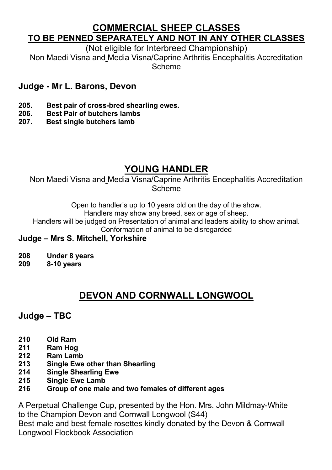## **COMMERCIAL SHEEP CLASSES TO BE PENNED SEPARATELY AND NOT IN ANY OTHER CLASSES**

(Not eligible for Interbreed Championship)

Non Maedi Visna and Media Visna/Caprine Arthritis Encephalitis Accreditation Scheme

## **Judge - Mr L. Barons, Devon**

- **205. Best pair of cross-bred shearling ewes.**
- **206. Best Pair of butchers lambs**
- **207. Best single butchers lamb**

## **YOUNG HANDLER**

Non Maedi Visna and Media Visna/Caprine Arthritis Encephalitis Accreditation Scheme

> Open to handler's up to 10 years old on the day of the show. Handlers may show any breed, sex or age of sheep.

Handlers will be judged on Presentation of animal and leaders ability to show animal.

Conformation of animal to be disregarded

#### **Judge – Mrs S. Mitchell, Yorkshire**

- **208 Under 8 years**
- **209 8-10 years**

## **DEVON AND CORNWALL LONGWOOL**

#### **Judge – TBC**

- **210 Old Ram**
- **211 Ram Hog**
- **212 Ram Lamb**
- **213 Single Ewe other than Shearling**
- **214 Single Shearling Ewe**
- **215 Single Ewe Lamb**
- **216 Group of one male and two females of different ages**

A Perpetual Challenge Cup, presented by the Hon. Mrs. John Mildmay-White to the Champion Devon and Cornwall Longwool (S44)

Best male and best female rosettes kindly donated by the Devon & Cornwall Longwool Flockbook Association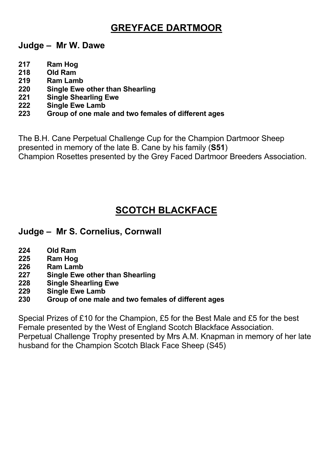## **GREYFACE DARTMOOR**

**Judge – Mr W. Dawe**

- **217 Ram Hog**
- **218 Old Ram**
- **219 Ram Lamb**
- **220 Single Ewe other than Shearling**
- **221 Single Shearling Ewe**
- **222 Single Ewe Lamb**
- **223 Group of one male and two females of different ages**

The B.H. Cane Perpetual Challenge Cup for the Champion Dartmoor Sheep presented in memory of the late B. Cane by his family (**S51**) Champion Rosettes presented by the Grey Faced Dartmoor Breeders Association.

## **SCOTCH BLACKFACE**

#### **Judge – Mr S. Cornelius, Cornwall**

- **224 Old Ram**
- **225 Ram Hog**
- **226 Ram Lamb**
- **227 Single Ewe other than Shearling**
- **228 Single Shearling Ewe**
- **229 Single Ewe Lamb**
- **230 Group of one male and two females of different ages**

Special Prizes of £10 for the Champion, £5 for the Best Male and £5 for the best Female presented by the West of England Scotch Blackface Association. Perpetual Challenge Trophy presented by Mrs A.M. Knapman in memory of her late husband for the Champion Scotch Black Face Sheep (S45)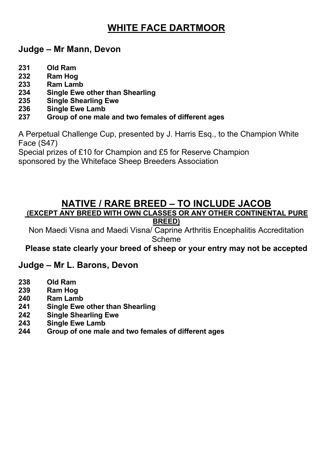## **WHITE FACE DARTMOOR**

#### **Judge – Mr Mann, Devon**

- **231 Old Ram**
- **232 Ram Hog**
- **233 Ram Lamb**
- **234 Single Ewe other than Shearling**
- **235 Single Shearling Ewe**
- **236 Single Ewe Lamb**
- **237 Group of one male and two females of different ages**

A Perpetual Challenge Cup, presented by J. Harris Esq., to the Champion White Face (S47)

Special prizes of £10 for Champion and £5 for Reserve Champion

sponsored by the Whiteface Sheep Breeders Association

## **NATIVE / RARE BREED – TO INCLUDE JACOB (EXCEPT ANY BREED WITH OWN CLASSES OR ANY OTHER CONTINENTAL PURE**

**BREED)**

Non Maedi Visna and Maedi Visna/ Caprine Arthritis Encephalitis Accreditation Scheme

#### **Please state clearly your breed of sheep or your entry may not be accepted**

## **Judge – Mr L. Barons, Devon**

- **238 Old Ram**
- **239 Ram Hog**
- **240 Ram Lamb**
- **241 Single Ewe other than Shearling**
- **242 Single Shearling Ewe**
- **243 Single Ewe Lamb**
- **244 Group of one male and two females of different ages**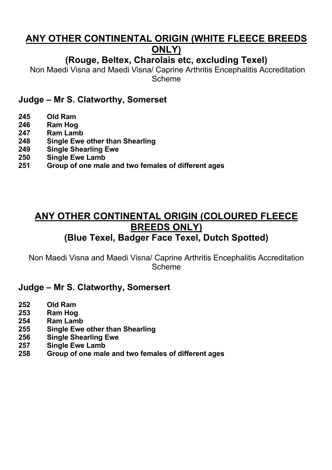## **ANY OTHER CONTINENTAL ORIGIN (WHITE FLEECE BREEDS ONLY)**

## **(Rouge, Beltex, Charolais etc, excluding Texel)**

Non Maedi Visna and Maedi Visna/ Caprine Arthritis Encephalitis Accreditation Scheme

#### **Judge – Mr S. Clatworthy, Somerset**

- **245 Old Ram**
- **246 Ram Hog**
- **247 Ram Lamb**
- **248 Single Ewe other than Shearling**
- **249 Single Shearling Ewe**
- **250 Single Ewe Lamb**
- **251 Group of one male and two females of different ages**

## **ANY OTHER CONTINENTAL ORIGIN (COLOURED FLEECE BREEDS ONLY) (Blue Texel, Badger Face Texel, Dutch Spotted)**

Non Maedi Visna and Maedi Visna/ Caprine Arthritis Encephalitis Accreditation Scheme

#### **Judge – Mr S. Clatworthy, Somersert**

- **252 Old Ram**
- **253 Ram Hog**
- **254 Ram Lamb**
- **255 Single Ewe other than Shearling**
- **256 Single Shearling Ewe**
- **257 Single Ewe Lamb**
- **258 Group of one male and two females of different ages**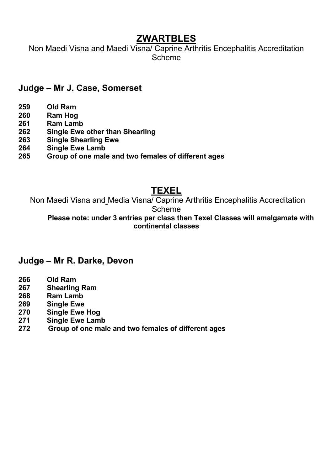## **ZWARTBLES**

Non Maedi Visna and Maedi Visna/ Caprine Arthritis Encephalitis Accreditation Scheme

#### **Judge – Mr J. Case, Somerset**

- **259 Old Ram**
- **260 Ram Hog**
- **261 Ram Lamb**
- **262 Single Ewe other than Shearling**
- **263 Single Shearling Ewe**
- **264 Single Ewe Lamb**
- **265 Group of one male and two females of different ages**

## **TEXEL**

Non Maedi Visna and Media Visna/ Caprine Arthritis Encephalitis Accreditation Scheme

**Please note: under 3 entries per class then Texel Classes will amalgamate with continental classes**

#### **Judge – Mr R. Darke, Devon**

- **266 Old Ram**
- **267 Shearling Ram**
- **268 Ram Lamb**
- **269 Single Ewe**
- **270 Single Ewe Hog**
- **271 Single Ewe Lamb**
- **272 Group of one male and two females of different ages**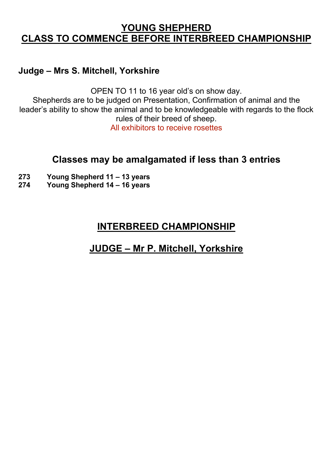## **YOUNG SHEPHERD CLASS TO COMMENCE BEFORE INTERBREED CHAMPIONSHIP**

#### **Judge – Mrs S. Mitchell, Yorkshire**

OPEN TO 11 to 16 year old's on show day.

Shepherds are to be judged on Presentation, Confirmation of animal and the leader's ability to show the animal and to be knowledgeable with regards to the flock rules of their breed of sheep.

All exhibitors to receive rosettes

## **Classes may be amalgamated if less than 3 entries**

- **273 Young Shepherd 11 – 13 years**
- **274 Young Shepherd 14 – 16 years**

## **INTERBREED CHAMPIONSHIP**

## **JUDGE – Mr P. Mitchell, Yorkshire**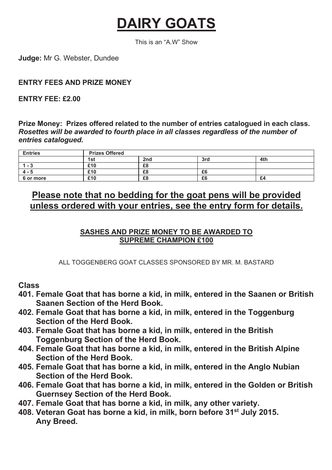# **DAIRY GOATS**

This is an "A.W" Show

**Judge:** Mr G. Webster, Dundee

#### **ENTRY FEES AND PRIZE MONEY**

#### **ENTRY FEE: £2.00**

**Prize Money: Prizes offered related to the number of entries catalogued in each class.**  *Rosettes will be awarded to fourth place in all classes regardless of the number of entries catalogued.*

| <b>Entries</b> | <b>Prizes Offered</b> |     |     |     |  |  |
|----------------|-----------------------|-----|-----|-----|--|--|
|                | 1st                   | 2nd | 3rd | 4th |  |  |
| $1 - 3$        | £10                   | £8  |     |     |  |  |
| $4 - 5$        | £10                   | £8  | £6  |     |  |  |
| 6 or more      | £10                   | £8  | £6  | £4  |  |  |

## **Please note that no bedding for the goat pens will be provided unless ordered with your entries, see the entry form for details.**

#### **SASHES AND PRIZE MONEY TO BE AWARDED TO SUPREME CHAMPION £100**

ALL TOGGENBERG GOAT CLASSES SPONSORED BY MR. M. BASTARD

**Class**

- **401. Female Goat that has borne a kid, in milk, entered in the Saanen or British Saanen Section of the Herd Book.**
- **402. Female Goat that has borne a kid, in milk, entered in the Toggenburg Section of the Herd Book.**
- **403. Female Goat that has borne a kid, in milk, entered in the British Toggenburg Section of the Herd Book.**
- **404. Female Goat that has borne a kid, in milk, entered in the British Alpine Section of the Herd Book.**
- **405. Female Goat that has borne a kid, in milk, entered in the Anglo Nubian Section of the Herd Book.**
- **406. Female Goat that has borne a kid, in milk, entered in the Golden or British Guernsey Section of the Herd Book.**
- **407. Female Goat that has borne a kid, in milk, any other variety.**
- **408. Veteran Goat has borne a kid, in milk, born before 31st July 2015. Any Breed.**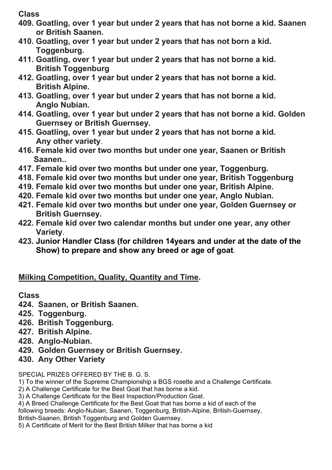**Class**

- **409. Goatling, over 1 year but under 2 years that has not borne a kid. Saanen or British Saanen.**
- **410. Goatling, over 1 year but under 2 years that has not born a kid. Toggenburg.**
- **411. Goatling, over 1 year but under 2 years that has not borne a kid. British Toggenburg**
- **412. Goatling, over 1 year but under 2 years that has not borne a kid. British Alpine.**
- **413. Goatling, over 1 year but under 2 years that has not borne a kid. Anglo Nubian.**
- **414. Goatling, over 1 year but under 2 years that has not borne a kid. Golden Guernsey or British Guernsey.**
- **415. Goatling, over 1 year but under 2 years that has not borne a kid. Any other variety**.
- **416. Female kid over two months but under one year, Saanen or British Saanen..**
- **417. Female kid over two months but under one year, Toggenburg.**
- **418. Female kid over two months but under one year, British Toggenburg**
- **419. Female kid over two months but under one year, British Alpine.**
- **420. Female kid over two months but under one year, Anglo Nubian.**
- **421. Female kid over two months but under one year, Golden Guernsey or British Guernsey.**
- **422. Female kid over two calendar months but under one year, any other Variety**.
- **423. Junior Handler Class (for children 14years and under at the date of the Show) to prepare and show any breed or age of goat**.

## **Milking Competition, Quality, Quantity and Time.**

#### **Class**

- **424. Saanen, or British Saanen.**
- **425. Toggenburg.**
- **426. British Toggenburg.**
- **427. British Alpine.**
- **428. Anglo-Nubian.**
- **429. Golden Guernsey or British Guernsey.**
- **430. Any Other Variety**

#### SPECIAL PRIZES OFFERED BY THE B. G. S.

- 1) To the winner of the Supreme Championship a BGS rosette and a Challenge Certificate.
- 2) A Challenge Certificate for the Best Goat that has borne a kid.
- 3) A Challenge Certificate for the Best Inspection/Production Goat.
- 4) A Breed Challenge Certificate for the Best Goat that has borne a kid of each of the
- following breeds: Anglo-Nubian, Saanen, Toggenburg, British-Alpine, British-Guernsey,
- British-Saanen, British Toggenburg and Golden Guernsey.
- 5) A Certificate of Merit for the Best British Milker that has borne a kid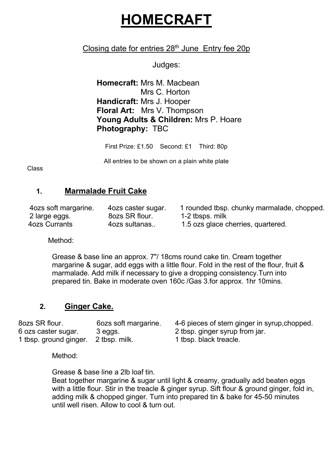# **HOMECRAFT**

#### Closing date for entries  $28<sup>th</sup>$  June Entry fee  $20p$

Judges:

**Homecraft:** Mrs M. Macbean Mrs C. Horton **Handicraft:** Mrs J. Hooper **Floral Art:** Mrs V. Thompson **Young Adults & Children:** Mrs P. Hoare **Photography:** TBC

First Prize: £1.50 Second: £1 Third: 80p

All entries to be shown on a plain white plate

Class

#### **1. Marmalade Fruit Cake**

4ozs soft margarine. 4ozs caster sugar. 1 rounded tbsp. chunky marmalade, chopped.<br>2 large eggs. 6 80zs SR flour. 1-2 tbsps. milk 1-2 tbsps. milk 4ozs Currants 4ozs sultanas.. 1.5 ozs glace cherries, quartered.

Method:

Grease & base line an approx. 7"/ 18cms round cake tin. Cream together margarine & sugar, add eggs with a little flour. Fold in the rest of the flour, fruit & marmalade. Add milk if necessary to give a dropping consistency.Turn into prepared tin. Bake in moderate oven 160c /Gas 3.for approx. 1hr 10mins.

#### **2. Ginger Cake.**

8ozs SR flour. 6ozs soft margarine. 4-6 pieces of stem ginger in syrup,chopped. 6 ozs caster sugar. 3 eggs. 2 tbsp. ginger syrup from jar. 1 tbsp. ground ginger. 2 tbsp. milk. 1 tbsp. black treacle.

Method<sup>.</sup>

Grease & base line a 2lb loaf tin.

Beat together margarine & sugar until light & creamy, gradually add beaten eggs with a little flour. Stir in the treacle & ginger syrup. Sift flour & ground ginger, fold in, adding milk & chopped ginger. Turn into prepared tin & bake for 45-50 minutes until well risen. Allow to cool & turn out.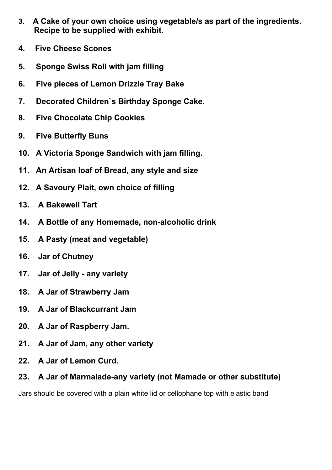- **3. A Cake of your own choice using vegetable/s as part of the ingredients. Recipe to be supplied with exhibit.**
- **4. Five Cheese Scones**
- **5. Sponge Swiss Roll with jam filling**
- **6. Five pieces of Lemon Drizzle Tray Bake**
- **7. Decorated Children`s Birthday Sponge Cake.**
- **8. Five Chocolate Chip Cookies**
- **9. Five Butterfly Buns**
- **10. A Victoria Sponge Sandwich with jam filling.**
- **11. An Artisan loaf of Bread, any style and size**
- **12. A Savoury Plait, own choice of filling**
- **13. A Bakewell Tart**
- **14. A Bottle of any Homemade, non-alcoholic drink**
- **15. A Pasty (meat and vegetable)**
- **16. Jar of Chutney**
- **17. Jar of Jelly - any variety**
- **18. A Jar of Strawberry Jam**
- **19. A Jar of Blackcurrant Jam**
- **20. A Jar of Raspberry Jam.**
- **21. A Jar of Jam, any other variety**
- **22. A Jar of Lemon Curd.**

#### **23. A Jar of Marmalade-any variety (not Mamade or other substitute)**

Jars should be covered with a plain white lid or cellophane top with elastic band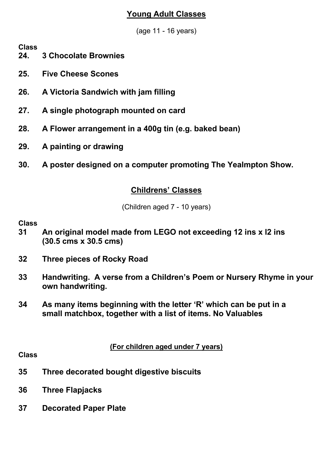#### **Young Adult Classes**

(age 11 - 16 years)

**Class**

- **24. 3 Chocolate Brownies**
- **25. Five Cheese Scones**
- **26. A Victoria Sandwich with jam filling**
- **27. A single photograph mounted on card**
- **28. A Flower arrangement in a 400g tin (e.g. baked bean)**
- **29. A painting or drawing**
- **30. A poster designed on a computer promoting The Yealmpton Show.**

#### **Childrens' Classes**

(Children aged 7 - 10 years)

#### **Class**

- **31 An original model made from LEGO not exceeding 12 ins x l2 ins (30.5 cms x 30.5 cms)**
- **32 Three pieces of Rocky Road**
- **33 Handwriting. A verse from a Children's Poem or Nursery Rhyme in your own handwriting.**
- **34 As many items beginning with the letter 'R' which can be put in a small matchbox, together with a list of items. No Valuables**

**(For children aged under 7 years)**

#### **Class**

- **35 Three decorated bought digestive biscuits**
- **36 Three Flapjacks**
- **37 Decorated Paper Plate**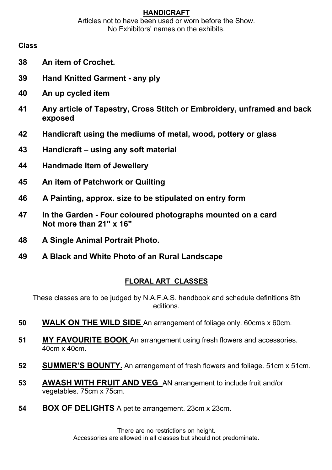#### **HANDICRAFT**

Articles not to have been used or worn before the Show. No Exhibitors' names on the exhibits.

#### **Class**

- **38 An item of Crochet.**
- **39 Hand Knitted Garment - any ply**
- **40 An up cycled item**
- **41 Any article of Tapestry, Cross Stitch or Embroidery, unframed and back exposed**
- **42 Handicraft using the mediums of metal, wood, pottery or glass**
- **43 Handicraft – using any soft material**
- **44 Handmade Item of Jewellery**
- **45 An item of Patchwork or Quilting**
- **46 A Painting, approx. size to be stipulated on entry form**
- **47 In the Garden - Four coloured photographs mounted on a card Not more than 21" x 16"**
- **48 A Single Animal Portrait Photo.**
- **49 A Black and White Photo of an Rural Landscape**

#### **FLORAL ART CLASSES**

These classes are to be judged by N.A.F.A.S. handbook and schedule definitions 8th editions.

- **50 WALK ON THE WILD SIDE** An arrangement of foliage only. 60cms x 60cm.
- **51 MY FAVOURITE BOOK** An arrangement using fresh flowers and accessories. 40cm x 40cm.
- **52 SUMMER'S BOUNTY.** An arrangement of fresh flowers and foliage. 51cm x 51cm.
- **53 AWASH WITH FRUIT AND VEG** AN arrangement to include fruit and/or vegetables. 75cm x 75cm.
- **54 BOX OF DELIGHTS** A petite arrangement. 23cm x 23cm.

There are no restrictions on height. Accessories are allowed in all classes but should not predominate.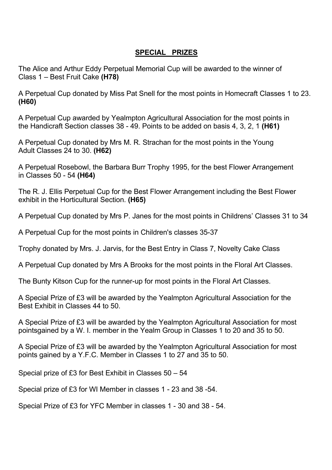#### **SPECIAL PRIZES**

The Alice and Arthur Eddy Perpetual Memorial Cup will be awarded to the winner of Class 1 – Best Fruit Cake **(H78)**

A Perpetual Cup donated by Miss Pat Snell for the most points in Homecraft Classes 1 to 23. **(H60)**

A Perpetual Cup awarded by Yealmpton Agricultural Association for the most points in the Handicraft Section classes 38 - 49. Points to be added on basis 4, 3, 2, 1 **(H61)**

A Perpetual Cup donated by Mrs M. R. Strachan for the most points in the Young Adult Classes 24 to 30. **(H62)**

A Perpetual Rosebowl, the Barbara Burr Trophy 1995, for the best Flower Arrangement in Classes 50 - 54 **(H64)**

The R. J. Ellis Perpetual Cup for the Best Flower Arrangement including the Best Flower exhibit in the Horticultural Section. **(H65)**

A Perpetual Cup donated by Mrs P. Janes for the most points in Childrens' Classes 31 to 34

A Perpetual Cup for the most points in Children's classes 35-37

Trophy donated by Mrs. J. Jarvis, for the Best Entry in Class 7, Novelty Cake Class

A Perpetual Cup donated by Mrs A Brooks for the most points in the Floral Art Classes.

The Bunty Kitson Cup for the runner-up for most points in the Floral Art Classes.

A Special Prize of £3 will be awarded by the Yealmpton Agricultural Association for the Best Exhibit in Classes 44 to 50.

A Special Prize of £3 will be awarded by the Yealmpton Agricultural Association for most pointsgained by a W. I. member in the Yealm Group in Classes 1 to 20 and 35 to 50.

A Special Prize of £3 will be awarded by the Yealmpton Agricultural Association for most points gained by a Y.F.C. Member in Classes 1 to 27 and 35 to 50.

Special prize of £3 for Best Exhibit in Classes 50 – 54

Special prize of £3 for WI Member in classes 1 - 23 and 38 -54.

Special Prize of £3 for YFC Member in classes 1 - 30 and 38 - 54.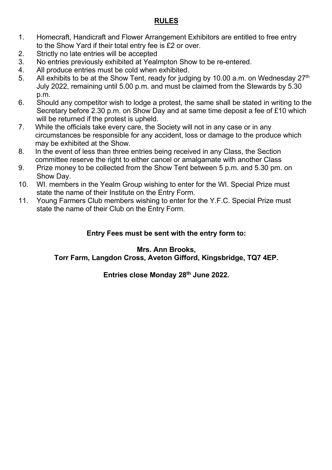#### **RULES**

- 1. Homecraft, Handicraft and Flower Arrangement Exhibitors are entitled to free entry to the Show Yard if their total entry fee is £2 or over.
- 2. Strictly no late entries will be accepted
- 3. No entries previously exhibited at Yealmpton Show to be re-entered.
- 4. All produce entries must be cold when exhibited.<br>5. All exhibits to be at the Show Tent, ready for judge
- All exhibits to be at the Show Tent, ready for judging by 10.00 a.m. on Wednesday  $27<sup>th</sup>$ July 2022, remaining until 5.00 p.m. and must be claimed from the Stewards by 5.30 p.m.
- 6. Should any competitor wish to lodge a protest, the same shall be stated in writing to the Secretary before 2.30 p.m. on Show Day and at same time deposit a fee of £10 which will be returned if the protest is upheld.
- 7. While the officials take every care, the Society will not in any case or in any circumstances be responsible for any accident, loss or damage to the produce which may be exhibited at the Show.
- 8. In the event of less than three entries being received in any Class, the Section committee reserve the right to either cancel or amalgamate with another Class
- 9. Prize money to be collected from the Show Tent between 5 p.m. and 5.30 pm. on Show Day.
- 10. WI. members in the Yealm Group wishing to enter for the WI. Special Prize must state the name of their Institute on the Entry Form.
- 11. Young Farmers Club members wishing to enter for the Y.F.C. Special Prize must state the name of their Club on the Entry Form.

#### **Entry Fees must be sent with the entry form to:**

#### **Mrs. Ann Brooks,**

**Torr Farm, Langdon Cross, Aveton Gifford, Kingsbridge, TQ7 4EP.**

**Entries close Monday 28th June 2022.**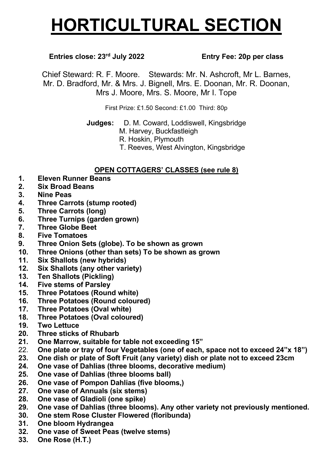# **HORTICULTURAL SECTION**

#### **Entries close: 23rd July 2022 Entry Fee: 20p per class**

Chief Steward: R. F. Moore. Stewards: Mr. N. Ashcroft, Mr L. Barnes, Mr. D. Bradford, Mr. & Mrs. J. Bignell, Mrs. E. Doonan, Mr. R. Doonan, Mrs J. Moore, Mrs. S. Moore, Mr I. Tope

First Prize: £1.50 Second: £1.00 Third: 80p

**Judges:** D. M. Coward, Loddiswell, Kingsbridge

- M. Harvey, Buckfastleigh
- R. Hoskin, Plymouth
- T. Reeves, West Alvington, Kingsbridge

#### **OPEN COTTAGERS' CLASSES (see rule 8)**

- **1. Eleven Runner Beans**
- **2. Six Broad Beans**
- **3. Nine Peas**
- **4. Three Carrots (stump rooted)**
- **5. Three Carrots (long)**
- **6. Three Turnips (garden grown)**
- **7. Three Globe Beet**
- **8. Five Tomatoes**
- **9. Three Onion Sets (globe). To be shown as grown**
- **10. Three Onions (other than sets) To be shown as grown**
- **11. Six Shallots (new hybrids)**
- **12. Six Shallots (any other variety)**
- **13. Ten Shallots (Pickling)**
- **14. Five stems of Parsley**
- **15. Three Potatoes (Round white)**
- **16. Three Potatoes (Round coloured)**
- **17. Three Potatoes (Oval white)**
- **18. Three Potatoes (Oval coloured)**
- **19. Two Lettuce**
- **20. Three sticks of Rhubarb**
- **21. One Marrow, suitable for table not exceeding 15"**
- 22. **One plate or tray of four Vegetables (one of each, space not to exceed 24"x 18")**
- **23. One dish or plate of Soft Fruit (any variety) dish or plate not to exceed 23cm**
- **24. One vase of Dahlias (three blooms, decorative medium)**
- **25. One vase of Dahlias (three blooms ball)**
- **26. One vase of Pompon Dahlias (five blooms,)**
- **27. One vase of Annuals (six stems)**
- **28. One vase of Gladioli (one spike)**
- **29. One vase of Dahlias (three blooms). Any other variety not previously mentioned.**
- **30. One stem Rose Cluster Flowered (floribunda)**
- **31. One bloom Hydrangea**
- **32. One vase of Sweet Peas (twelve stems)**
- **33. One Rose (H.T.)**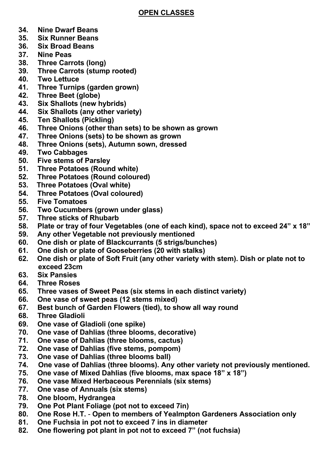#### **OPEN CLASSES**

- **34. Nine Dwarf Beans**
- **35. Six Runner Beans**
- **36. Six Broad Beans**
- **37. Nine Peas**
- **38. Three Carrots (long)**
- **39. Three Carrots (stump rooted)**
- **40. Two Lettuce**
- **41. Three Turnips (garden grown)**
- **42. Three Beet (globe)**
- **43. Six Shallots (new hybrids)**
- **44. Six Shallots (any other variety)**
- **45. Ten Shallots (Pickling)**
- **46. Three Onions (other than sets) to be shown as grown**
- **47. Three Onions (sets) to be shown as grown**
- **48. Three Onions (sets), Autumn sown, dressed**
- **49. Two Cabbages**
- **50. Five stems of Parsley**
- **51. Three Potatoes (Round white)**
- **52. Three Potatoes (Round coloured)**
- **53. Three Potatoes (Oval white)**
- **54. Three Potatoes (Oval coloured)**
- **55. Five Tomatoes**
- **56. Two Cucumbers (grown under glass)**
- **57. Three sticks of Rhubarb**
- **58. Plate or tray of four Vegetables (one of each kind), space not to exceed 24" x 18"**
- **59. Any other Vegetable not previously mentioned**
- **60. One dish or plate of Blackcurrants (5 strigs/bunches)**
- **61. One dish or plate of Gooseberries (20 with stalks)**
- **62. One dish or plate of Soft Fruit (any other variety with stem). Dish or plate not to exceed 23cm**
- **63. Six Pansies**
- **64. Three Roses**
- **65. Three vases of Sweet Peas (six stems in each distinct variety)**
- **66. One vase of sweet peas (12 stems mixed)**
- **67. Best bunch of Garden Flowers (tied), to show all way round**
- **68. Three Gladioli**
- **69. One vase of Gladioli (one spike)**
- **70. One vase of Dahlias (three blooms, decorative)**
- **71. One vase of Dahlias (three blooms, cactus)**
- **72. One vase of Dahlias (five stems, pompom)**
- **73. One vase of Dahlias (three blooms ball)**
- **74. One vase of Dahlias (three blooms). Any other variety not previously mentioned.**
- **75. One vase of Mixed Dahlias (five blooms, max space 18" x 18")**
- **76. One vase Mixed Herbaceous Perennials (six stems)**
- **77. One vase of Annuals (six stems)**
- **78. One bloom, Hydrangea**
- **79. One Pot Plant Foliage (pot not to exceed 7in)**
- **80. One Rose H.T. Open to members of Yealmpton Gardeners Association only**
- **81. One Fuchsia in pot not to exceed 7 ins in diameter**
- **82. One flowering pot plant in pot not to exceed 7" (not fuchsia)**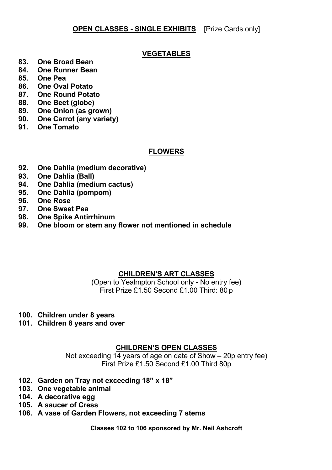#### **OPEN CLASSES - SINGLE EXHIBITS** [Prize Cards only]

#### **VEGETABLES**

- **83. One Broad Bean**
- **84. One Runner Bean**
- **85. One Pea**
- **86. One Oval Potato**
- **87. One Round Potato**
- **88. One Beet (globe)**
- **89. One Onion (as grown)**
- **90. One Carrot (any variety)**
- **91. One Tomato**

#### **FLOWERS**

- **92. One Dahlia (medium decorative)**
- **93. One Dahlia (Ball)**
- **94. One Dahlia (medium cactus)**
- **95. One Dahlia (pompom)**
- **96. One Rose**
- **97. One Sweet Pea**
- **98. One Spike Antirrhinum**
- **99. One bloom or stem any flower not mentioned in schedule**

#### **CHILDREN'S ART CLASSES**

(Open to Yealmpton School only - No entry fee) First Prize £1.50 Second £1.00 Third: 80 p

- **100. Children under 8 years**
- **101. Children 8 years and over**

#### **CHILDREN'S OPEN CLASSES**

Not exceeding 14 years of age on date of Show – 20p entry fee) First Prize £1.50 Second £1.00 Third 80p

- **102. Garden on Tray not exceeding 18" x 18"**
- **103. One vegetable animal**
- **104. A decorative egg**
- **105. A saucer of Cress**
- **106. A vase of Garden Flowers, not exceeding 7 stems**

**Classes 102 to 106 sponsored by Mr. Neil Ashcroft**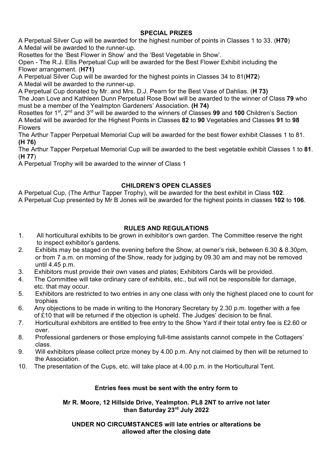#### **SPECIAL PRIZES**

A Perpetual Silver Cup will be awarded for the highest number of points in Classes 1 to 33. (**H70**) A Medal will be awarded to the runner-up.

Rosettes for the 'Best Flower in Show' and the 'Best Vegetable in Show'.

Open - The R.J. Ellis Perpetual Cup will be awarded for the Best Flower Exhibit including the Flower arrangement. (**H71)**

A Perpetual Silver Cup will be awarded for the highest points in Classes 34 to 81(**H72**) A Medal will be awarded to the runner-up.

A Perpetual Cup donated by Mr. and Mrs. D.J. Pearn for the Best Vase of Dahlias. (**H 73)** The Joan Love and Kathleen Dunn Perpetual Rose Bowl will be awarded to the winner of Class **79** who must be a member of the Yealmpton Gardeners' Association. **(H 74)**

Rosettes for 1st, 2nd and 3rd will be awarded to the winners of Classes **99** and **100** Children's Section A Medal will be awarded for the Highest Points in Classes **82** to **90** Vegetables and Classes **91** to **98** Flowers

The Arthur Tapper Perpetual Memorial Cup will be awarded for the best flower exhibit Classes 1 to 81. **(H 76)**

The Arthur Tapper Perpetual Memorial Cup will be awarded to the best vegetable exhibit Classes 1 to **81**. (**H 77**)

A Perpetual Trophy will be awarded to the winner of Class 1

#### **CHILDREN'S OPEN CLASSES**

A Perpetual Cup, (The Arthur Tapper Trophy), will be awarded for the best exhibit in Class **102**. A Perpetual Cup presented by Mr B Jones will be awarded for the highest points in classes **102** to **106**.

#### **RULES AND REGULATIONS**

- 1. All horticultural exhibits to be grown in exhibitor's own garden. The Committee reserve the right to inspect exhibitor's gardens.
- 2. Exhibits may be staged on the evening before the Show, at owner's risk, between 6.30 & 8.30pm, or from 7 a.m. on morning of the Show, ready for judging by 09.30 am and may not be removed until 4.45 p.m.
- 3. Exhibitors must provide their own vases and plates; Exhibitors Cards will be provided.
- 4. The Committee will take ordinary care of exhibits, etc., but will not be responsible for damage, etc. that may occur.
- 5. Exhibitors are restricted to two entries in any one class with only the highest placed one to count for trophies
- 6. Any objections to be made in writing to the Honorary Secretary by 2.30 p.m. together with a fee of £10 that will be returned if the objection is upheld. The Judges' decision to be final.
- 7. Horticultural exhibitors are entitled to free entry to the Show Yard if their total entry fee is £2.60 or over.
- 8. Professional gardeners or those employing full-time assistants cannot compete in the Cottagers' class.
- 9. Will exhibitors please collect prize money by 4.00 p.m. Any not claimed by then will be returned to the Association.
- 10. The presentation of the Cups, etc. will take place at 4.00 p.m. in the Horticultural Tent.

#### **Entries fees must be sent with the entry form to**

#### **Mr R. Moore, 12 Hillside Drive, Yealmpton. PL8 2NT to arrive not later than Saturday 23rd July 2022**

#### **UNDER NO CIRCUMSTANCES will late entries or alterations be allowed after the closing date**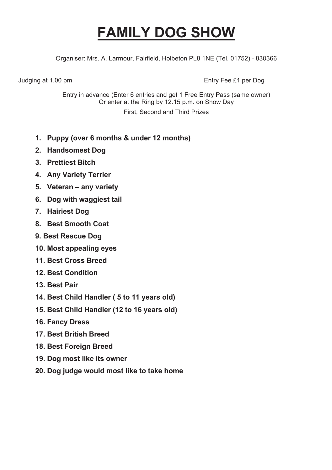# **FAMILY DOG SHOW**

Organiser: Mrs. A. Larmour, Fairfield, Holbeton PL8 1NE (Tel. 01752) - 830366

Judging at 1.00 pm **Entry Fee £1 per Dog** 

Entry in advance (Enter 6 entries and get 1 Free Entry Pass (same owner) Or enter at the Ring by 12.15 p.m. on Show Day

First, Second and Third Prizes

- **1. Puppy (over 6 months & under 12 months)**
- **2. Handsomest Dog**
- **3. Prettiest Bitch**
- **4. Any Variety Terrier**
- **5. Veteran – any variety**
- **6. Dog with waggiest tail**
- **7. Hairiest Dog**
- **8. Best Smooth Coat**
- **9. Best Rescue Dog**
- **10. Most appealing eyes**
- **11. Best Cross Breed**
- **12. Best Condition**
- **13. Best Pair**
- **14. Best Child Handler ( 5 to 11 years old)**
- **15. Best Child Handler (12 to 16 years old)**
- **16. Fancy Dress**
- **17. Best British Breed**
- **18. Best Foreign Breed**
- **19. Dog most like its owner**
- **20. Dog judge would most like to take home**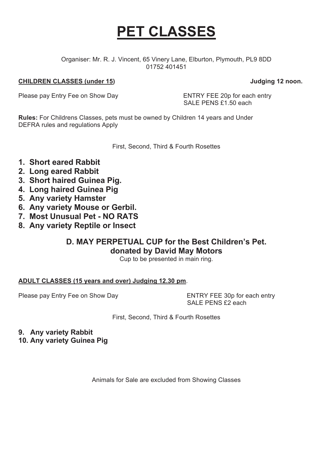# **PET CLASSES**

Organiser: Mr. R. J. Vincent, 65 Vinery Lane, Elburton, Plymouth, PL9 8DD 01752 401451

#### **CHILDREN CLASSES (under 15) Judging 12 noon.**

Please pay Entry Fee on Show Day ENTRY FEE 20p for each entry

SALE PENS £1.50 each

**Rules:** For Childrens Classes, pets must be owned by Children 14 years and Under DEFRA rules and regulations Apply

First, Second, Third & Fourth Rosettes

- **1. Short eared Rabbit**
- **2. Long eared Rabbit**
- **3. Short haired Guinea Pig.**
- **4. Long haired Guinea Pig**
- **5. Any variety Hamster**
- **6. Any variety Mouse or Gerbil.**
- **7. Most Unusual Pet - NO RATS**
- **8. Any variety Reptile or Insect**

#### **D. MAY PERPETUAL CUP for the Best Children's Pet. donated by David May Motors**

Cup to be presented in main ring.

#### **ADULT CLASSES (15 years and over) Judging 12.30 pm**.

Please pay Entry Fee on Show Day **ENTRY FEE 30p for each entry** 

SALE PENS £2 each

First, Second, Third & Fourth Rosettes

**9. Any variety Rabbit**

**10. Any variety Guinea Pig**

Animals for Sale are excluded from Showing Classes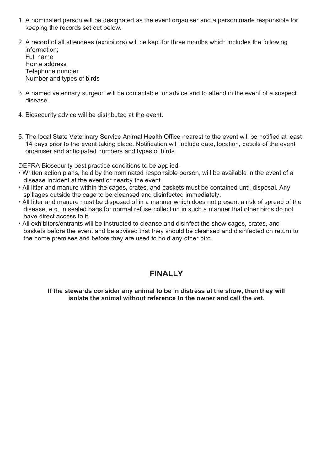- 1. A nominated person will be designated as the event organiser and a person made responsible for keeping the records set out below.
- 2. A record of all attendees (exhibitors) will be kept for three months which includes the following information; Full name Home address Telephone number Number and types of birds
- 3. A named veterinary surgeon will be contactable for advice and to attend in the event of a suspect disease.
- 4. Biosecurity advice will be distributed at the event.
- 5. The local State Veterinary Service Animal Health Office nearest to the event will be notified at least 14 days prior to the event taking place. Notification will include date, location, details of the event organiser and anticipated numbers and types of birds.

DEFRA Biosecurity best practice conditions to be applied.

- Written action plans, held by the nominated responsible person, will be available in the event of a disease Incident at the event or nearby the event.
- All litter and manure within the cages, crates, and baskets must be contained until disposal. Any spillages outside the cage to be cleansed and disinfected immediately.
- All litter and manure must be disposed of in a manner which does not present a risk of spread of the disease, e.g. in sealed bags for normal refuse collection in such a manner that other birds do not have direct access to it.
- All exhibitors/entrants will be instructed to cleanse and disinfect the show cages, crates, and baskets before the event and be advised that they should be cleansed and disinfected on return to the home premises and before they are used to hold any other bird.

#### **FINALLY**

**If the stewards consider any animal to be in distress at the show, then they will isolate the animal without reference to the owner and call the vet.**